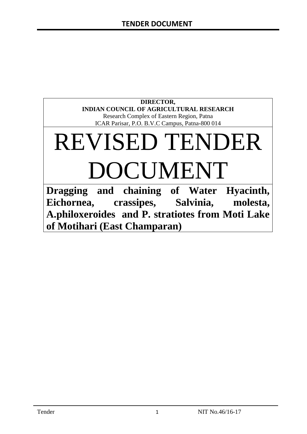#### **DIRECTOR, INDIAN COUNCIL OF AGRICULTURAL RESEARCH** Research Complex of Eastern Region, Patna ICAR Parisar, P.O. B.V.C Campus, Patna-800 014

# REVISED TENDER DOCUMENT

**Dragging and chaining of Water Hyacinth, Eichornea, crassipes, Salvinia, molesta, A.philoxeroides and P. stratiotes from Moti Lake of Motihari (East Champaran)**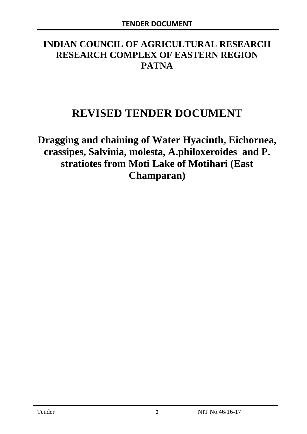# **INDIAN COUNCIL OF AGRICULTURAL RESEARCH RESEARCH COMPLEX OF EASTERN REGION PATNA**

# **REVISED TENDER DOCUMENT**

**Dragging and chaining of Water Hyacinth, Eichornea, crassipes, Salvinia, molesta, A.philoxeroides and P. stratiotes from Moti Lake of Motihari (East Champaran)**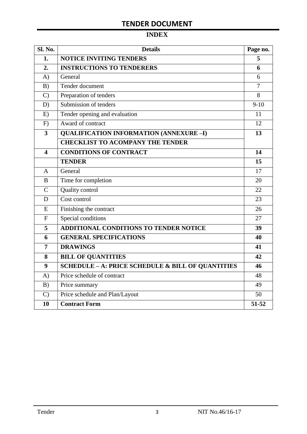# **INDEX**

| <b>Sl. No.</b> | <b>Details</b>                                    | Page no.       |
|----------------|---------------------------------------------------|----------------|
| 1.             | <b>NOTICE INVITING TENDERS</b>                    | 5              |
| 2.             | <b>INSTRUCTIONS TO TENDERERS</b>                  | 6              |
| A)             | General                                           | 6              |
| B)             | Tender document                                   | $\overline{7}$ |
| $\mathcal{C}$  | Preparation of tenders                            | 8              |
| D)             | Submission of tenders                             | $9-10$         |
| E)             | Tender opening and evaluation                     | 11             |
| F)             | Award of contract                                 | 12             |
| 3              | <b>QUALIFICATION INFORMATION (ANNEXURE-I)</b>     | 13             |
|                | <b>CHECKLIST TO ACOMPANY THE TENDER</b>           |                |
| 4              | <b>CONDITIONS OF CONTRACT</b>                     | 14             |
|                | <b>TENDER</b>                                     | 15             |
| A              | General                                           | 17             |
| B              | Time for completion                               | 20             |
| $\overline{C}$ | Quality control                                   | 22             |
| D              | Cost control                                      | 23             |
| E              | Finishing the contract                            | 26             |
| $\overline{F}$ | Special conditions                                | 27             |
| 5              | ADDITIONAL CONDITIONS TO TENDER NOTICE            | 39             |
| 6              | <b>GENERAL SPECIFICATIONS</b>                     | 40             |
| $\overline{7}$ | <b>DRAWINGS</b>                                   | 41             |
| 8              | <b>BILL OF QUANTITIES</b>                         | 42             |
| 9              | SCHEDULE - A: PRICE SCHEDULE & BILL OF QUANTITIES | 46             |
| A)             | Price schedule of contract                        | 48             |
| B)             | Price summary                                     | 49             |
| $\mathcal{C}$  | Price schedule and Plan/Layout                    | 50             |
| 10             | <b>Contract Form</b>                              | 51-52          |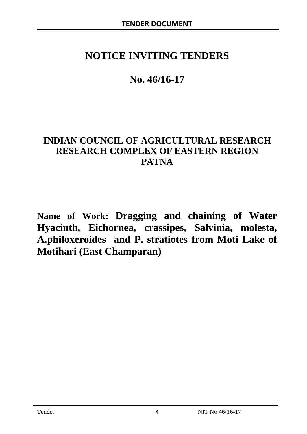# **NOTICE INVITING TENDERS**

# **No. 46/16-17**

# **INDIAN COUNCIL OF AGRICULTURAL RESEARCH RESEARCH COMPLEX OF EASTERN REGION PATNA**

**Name of Work: Dragging and chaining of Water Hyacinth, Eichornea, crassipes, Salvinia, molesta, A.philoxeroides and P. stratiotes from Moti Lake of Motihari (East Champaran)**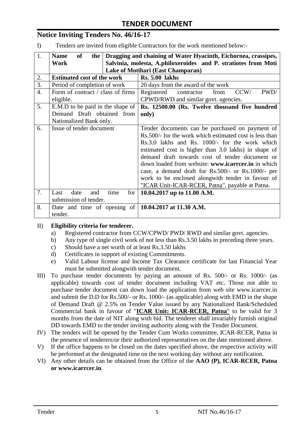# **Notice Inviting Tenders No. 46/16-17**

I) Tenders are invited from eligible Contractors for the work mentioned below:-

| 1.               | Dragging and chaining of Water Hyacinth, Eichornea, crassipes,<br><b>Name</b><br><b>of</b><br>the |                                                                |  |  |  |
|------------------|---------------------------------------------------------------------------------------------------|----------------------------------------------------------------|--|--|--|
|                  | Work                                                                                              | Salvinia, molesta, A.philoxeroides and P. stratiotes from Moti |  |  |  |
|                  |                                                                                                   | <b>Lake of Motihari (East Champaran)</b>                       |  |  |  |
| 2.               | <b>Estimated cost of the work</b>                                                                 | <b>Rs. 5.00 lakhs</b>                                          |  |  |  |
| 3.               | Period of completion of work                                                                      | 20 days from the award of the work                             |  |  |  |
| $\overline{4}$ . | Form of contract / class of firms                                                                 | PWD/<br>Registered<br>CCW/<br>contractor<br>from               |  |  |  |
|                  | eligible.                                                                                         | CPWD/RWD and similar govt. agencies.                           |  |  |  |
| 5.               | E.M.D to be paid in the shape of                                                                  | Rs. 12500.00 (Rs. Twelve thousand five hundred                 |  |  |  |
|                  | Demand Draft obtained from                                                                        | only)                                                          |  |  |  |
|                  | Nationalized Bank only.                                                                           |                                                                |  |  |  |
| 6.               | Issue of tender document                                                                          | Tender documents can be purchased on payment of                |  |  |  |
|                  |                                                                                                   | Rs. 500/- for the work which estimated cost is less than       |  |  |  |
|                  |                                                                                                   | Rs.3.0 lakhs and Rs. 1000/- for the work which                 |  |  |  |
|                  |                                                                                                   | estimated cost is higher than 3.0 lakhs) in shape of           |  |  |  |
|                  |                                                                                                   | demand draft towards cost of tender document or                |  |  |  |
|                  |                                                                                                   | down loaded from website: www.icarrcer.in in which             |  |  |  |
|                  |                                                                                                   | case, a demand draft for Rs.500/- or Rs.1000/- per             |  |  |  |
|                  |                                                                                                   | work to be enclosed alongwith tender in favour of              |  |  |  |
|                  |                                                                                                   | "ICAR Unit-ICAR-RCER, Patna", payable at Patna.                |  |  |  |
| 7.               | date<br>time<br>Last<br>for<br>and                                                                | 10.04.2017 up to 11.00 A.M.                                    |  |  |  |
|                  | submission of tender.                                                                             |                                                                |  |  |  |
| 8.               | Date and time of opening of $\vert$ 10.04.2017 at 11.30 A.M.                                      |                                                                |  |  |  |
|                  | tender.                                                                                           |                                                                |  |  |  |

#### II) **Eligibility criteria for tenderer.**

- a) Registered contractor from CCW/CPWD/ PWD/ RWD and similar govt. agencies.
- b) Any type of single civil work of not less than Rs.3.50 lakhs in preceding three years.
- c) Should have a net worth of at least Rs.3.50 lakhs
- d) Certificates in support of existing Commitments.
- e) Valid Labour license and Income Tax Clearance certificate for last Financial Year must be submitted alongwith tender document.
- III) To purchase tender documents by paying an amount of Rs. 500/- or Rs. 1000/- (as applicable) towards cost of tender document including VAT etc. Those not able to purchase tender document can down load the application from web site www.icarrcer.in and submit the D.D for Rs.500/- or Rs. 1000/- (as applicable) along with EMD in the shape of Demand Draft @ 2.5% on Tender Value issued by any Nationalized Bank/Scheduled Commercial bank in favour of "**ICAR Unit: ICAR-RCER, Patna**" to be valid for 3 months from the date of NIT along with bid. The tenderer shall invariably furnish original DD towards EMD to the tender inviting authority along with the Tender Document.
- IV) The tenders will be opened by the Tender Cum Works committee, ICAR-RCER, Patna in the presence of tenderers/or their authorized representatives on the date mentioned above.
- V) If the office happens to be closed on the dates specified above, the respective activity will be performed at the designated time on the next working day without any notification.
- VI) Any other details can be obtained from the Office of the **AAO (P), ICAR-RCER, Patna or www.icarrcer.in**.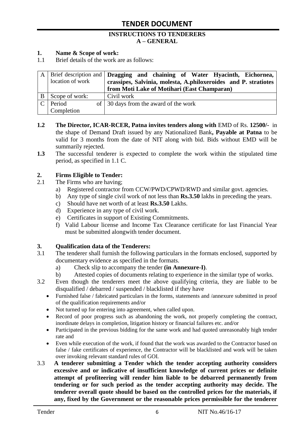#### **INSTRUCTIONS TO TENDERERS A – GENERAL**

#### **1. Name & Scope of work:**

1.1 Brief details of the work are as follows:

|   | location of work | A Brief description and <b>Dragging and chaining of Water Hyacinth</b> , Eichornea,<br>crassipes, Salvinia, molesta, A.philoxeroides and P. stratiotes<br>from Moti Lake of Motihari (East Champaran) |
|---|------------------|-------------------------------------------------------------------------------------------------------------------------------------------------------------------------------------------------------|
| B | Scope of work:   | Civil work                                                                                                                                                                                            |
|   | Period           | of 30 days from the award of the work                                                                                                                                                                 |
|   | Completion       |                                                                                                                                                                                                       |

- **1.2 The Director, ICAR-RCER, Patna invites tenders along with** EMD of Rs. **12500/-** in the shape of Demand Draft issued by any Nationalized Bank**, Payable at Patna** to be valid for 3 months from the date of NIT along with bid. Bids without EMD will be summarily rejected.
- **1.3** The successful tenderer is expected to complete the work within the stipulated time period, as specified in 1.1 C.

#### **2. Firms Eligible to Tender:**

- 2.1 The Firms who are having;
	- a) Registered contractor from CCW/PWD/CPWD/RWD and similar govt. agencies.
	- b) Any type of single civil work of not less than **Rs.3.50** lakhs in preceding the years.
	- c) Should have net worth of at least **Rs.3.50** Lakhs.
	- d) Experience in any type of civil work.
	- e) Certificates in support of Existing Commitments.
	- f) Valid Labour license and Income Tax Clearance certificate for last Financial Year must be submitted alongwith tender document.

#### **3. Qualification data of the Tenderers:**

- 3.1 The tenderer shall furnish the following particulars in the formats enclosed, supported by documentary evidence as specified in the formats.
	- a) Check slip to accompany the tender **(in Annexure-I)**.
	- b) Attested copies of documents relating to experience in the similar type of works.
- 3.2 Even though the tenderers meet the above qualifying criteria, they are liable to be disqualified / debarred / suspended / blacklisted if they have
	- Furnished false / fabricated particulars in the forms, statements and /annexure submitted in proof of the qualification requirements and/or
	- Not turned up for entering into agreement, when called upon.
	- Record of poor progress such as abandoning the work, not properly completing the contract, inordinate delays in completion, litigation history or financial failures etc. and/or
	- Participated in the previous bidding for the same work and had quoted unreasonably high tender rate and
	- Even while execution of the work, if found that the work was awarded to the Contractor based on false / fake certificates of experience, the Contractor will be blacklisted and work will be taken over invoking relevant standard rules of GOI.
- 3.3 **A tenderer submitting a Tender which the tender accepting authority considers excessive and or indicative of insufficient knowledge of current prices or definite attempt of profiteering will render him liable to be debarred permanently from tendering or for such period as the tender accepting authority may decide. The tenderer overall quote should be based on the controlled prices for the materials, if any, fixed by the Government or the reasonable prices permissible for the tenderer**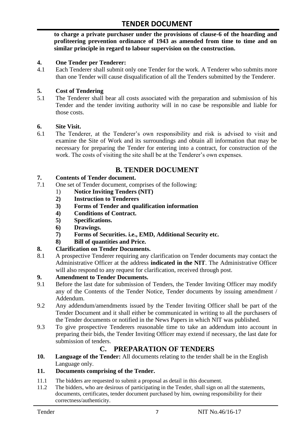**to charge a private purchaser under the provisions of clause-6 of the hoarding and profiteering prevention ordinance of 1943 as amended from time to time and on similar principle in regard to labour supervision on the construction.**

#### **4. One Tender per Tenderer:**

4.1 Each Tenderer shall submit only one Tender for the work. A Tenderer who submits more than one Tender will cause disqualification of all the Tenders submitted by the Tenderer.

#### **5. Cost of Tendering**

5.1 The Tenderer shall bear all costs associated with the preparation and submission of his Tender and the tender inviting authority will in no case be responsible and liable for those costs.

#### **6. Site Visit.**

6.1 The Tenderer, at the Tenderer"s own responsibility and risk is advised to visit and examine the Site of Work and its surroundings and obtain all information that may be necessary for preparing the Tender for entering into a contract, for construction of the work. The costs of visiting the site shall be at the Tenderer's own expenses.

# **B. TENDER DOCUMENT**

#### **7. Contents of Tender document.**

- 7.1 One set of Tender document, comprises of the following:
	- 1) **Notice Inviting Tenders (NIT)**
	- **2) Instruction to Tenderers**
	- **3) Forms of Tender and qualification information**
	- **4) Conditions of Contract.**
	- **5) Specifications.**
	- **6) Drawings.**
	- **7) Forms of Securities. i.e., EMD, Additional Security etc.**
	- **8) Bill of quantities and Price.**

# **8. Clarification on Tender Documents.**

8.1 A prospective Tenderer requiring any clarification on Tender documents may contact the Administrative Officer at the address **indicated in the NIT**. The Administrative Officer will also respond to any request for clarification, received through post.

#### **9. Amendment to Tender Documents.**

- 9.1 Before the last date for submission of Tenders, the Tender Inviting Officer may modify any of the Contents of the Tender Notice, Tender documents by issuing amendment / Addendum.
- 9.2 Any addendum/amendments issued by the Tender Inviting Officer shall be part of the Tender Document and it shall either be communicated in writing to all the purchasers of the Tender documents or notified in the News Papers in which NIT was published.
- 9.3 To give prospective Tenderers reasonable time to take an addendum into account in preparing their bids, the Tender Inviting Officer may extend if necessary, the last date for submission of tenders.

# **C. PREPARATION OF TENDERS**

**10. Language of the Tender:** All documents relating to the tender shall be in the English Language only.

#### **11. Documents comprising of the Tender.**

- 11.1 The bidders are requested to submit a proposal as detail in this document.<br>11.2 The bidders, who are desirous of participating in the Tender, shall sign on
- The bidders, who are desirous of participating in the Tender, shall sign on all the statements, documents, certificates, tender document purchased by him, owning responsibility for their correctness/authenticity.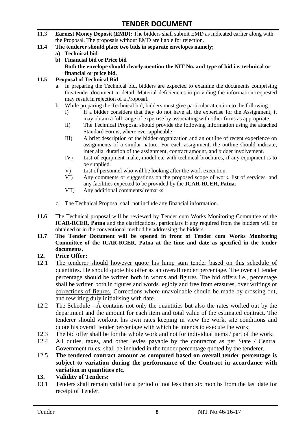- 11.3 **Earnest Money Deposit (EMD):** The bidders shall submit EMD as indicated earlier along with the Proposal. The proposals without EMD are liable for rejection.
- **11.4 The tenderer should place two bids in separate envelopes namely;**
	- **a) Technical bid**
	- **b) Financial bid or Price bid Both the envelope should clearly mention the NIT No. and type of bid i.e. technical or financial or price bid.**

#### **11.5 Proposal of Technical Bid**

- a. In preparing the Technical bid, bidders are expected to examine the documents comprising this tender document in detail. Material deficiencies in providing the information requested may result in rejection of a Proposal.
- b. While preparing the Technical bid, bidders must give particular attention to the following:
	- I) If a bidder considers that they do not have all the expertise for the Assignment, it may obtain a full range of expertise by associating with other firms as appropriate.
	- II) The Technical Proposal should provide the following information using the attached Standard Forms, where ever applicable
	- III) A brief description of the bidder organization and an outline of recent experience on assignments of a similar nature. For each assignment, the outline should indicate, inter alia, duration of the assignment, contract amount, and bidder involvement.
	- IV) List of equipment make, model etc with technical brochures, if any equipment is to be supplied.
	- V) List of personnel who will be looking after the work execution.
	- VI) Any comments or suggestions on the proposed scope of work, list of services, and any facilities expected to be provided by the **ICAR-RCER, Patna**.
	- VII) Any additional comments/ remarks.
- c. The Technical Proposal shall not include any financial information.
- **11.6** The Technical proposal will be reviewed by Tender cum Works Monitoring Committee of the **ICAR-RCER, Patna** and the clarifications, particulars if any required from the bidders will be obtained or in the conventional method by addressing the bidders.
- **11.7 The Tender Document will be opened in front of Tender cum Works Monitoring Committee of the ICAR-RCER, Patna at the time and date as specified in the tender documents.**

#### **12. Price Offer:**

- 12.1 The tenderer should however quote his lump sum tender based on this schedule of quantities. He should quote his offer as an overall tender percentage. The over all tender percentage should be written both in words and figures. The bid offers i.e., percentage shall be written both in figures and words legibly and free from erasures, over writings or corrections of figures. Corrections where unavoidable should be made by crossing out, and rewriting duly initialising with date.
- 12.2 The Schedule A contains not only the quantities but also the rates worked out by the department and the amount for each item and total value of the estimated contract. The tenderer should workout his own rates keeping in view the work, site conditions and quote his overall tender percentage with which he intends to execute the work.
- 12.3 The bid offer shall be for the whole work and not for individual items / part of the work.
- 12.4 All duties, taxes, and other levies payable by the contractor as per State / Central Government rules, shall be included in the tender percentage quoted by the tenderer.
- 12.5 **The tendered contract amount as computed based on overall tender percentage is subject to variation during the performance of the Contract in accordance with variation in quantities etc.**
- **13. Validity of Tenders:**
- 13.1 Tenders shall remain valid for a period of not less than six months from the last date for receipt of Tender.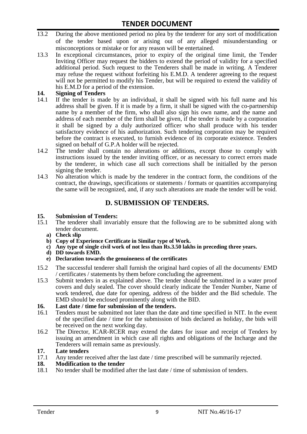- 13.2 During the above mentioned period no plea by the tenderer for any sort of modification of the tender based upon or arising out of any alleged misunderstanding or misconceptions or mistake or for any reason will be entertained.
- 13.3 In exceptional circumstances, prior to expiry of the original time limit, the Tender Inviting Officer may request the bidders to extend the period of validity for a specified additional period. Such request to the Tenderers shall be made in writing. A Tenderer may refuse the request without forfeiting his E.M.D. A tenderer agreeing to the request will not be permitted to modify his Tender, but will be required to extend the validity of his E.M.D for a period of the extension.

# 14. **Signing of Tenders**<br>14.1 If the tender is mag

- If the tender is made by an individual, it shall be signed with his full name and his address shall be given. If it is made by a firm, it shall be signed with the co-partnership name by a member of the firm, who shall also sign his own name, and the name and address of each member of the firm shall be given, if the tender is made by a corporation it shall be signed by a duly authorized officer who shall produce with his tender satisfactory evidence of his authorization. Such tendering corporation may be required before the contract is executed, to furnish evidence of its corporate existence. Tenders signed on behalf of G.P.A holder will be rejected.
- 14.2 The tender shall contain no alterations or additions, except those to comply with instructions issued by the tender inviting officer, or as necessary to correct errors made by the tenderer, in which case all such corrections shall be initialled by the person signing the tender.
- 14.3 No alteration which is made by the tenderer in the contract form, the conditions of the contract, the drawings, specifications or statements / formats or quantities accompanying the same will be recognized, and, if any such alterations are made the tender will be void.

# **D. SUBMISSION OF TENDERS.**

#### **15. Submission of Tenders:**

- 15.1 The tenderer shall invariably ensure that the following are to be submitted along with tender document.
	- **a) Check slip**
	- **b) Copy of Experience Certificate in Similar type of Work.**
	- **c) Any type of single civil work of not less than Rs.3.50 lakhs in preceding three years.**
	- **d) DD towards EMD.**
	- **e) Declaration towards the genuineness of the certificates**
- 15.2 The successful tenderer shall furnish the original hard copies of all the documents/ EMD / certificates / statements by them before concluding the agreement.
- 15.3 Submit tenders in as explained above. The tender should be submitted in a water proof covers and duly sealed. The cover should clearly indicate the Tender Number, Name of work tendered, due date for opening, address of the bidder and the Bid schedule. The EMD should be enclosed prominently along with the BID.

# **16. Last date / time for submission of the tenders.**

- 16.1 Tenders must be submitted not later than the date and time specified in NIT. In the event of the specified date / time for the submission of bids declared as holiday, the bids will be received on the next working day.
- 16.2 The Director, ICAR-RCER may extend the dates for issue and receipt of Tenders by issuing an amendment in which case all rights and obligations of the Incharge and the Tenderers will remain same as previously.

#### **17. Late tenders**

17.1 Any tender received after the last date / time prescribed will be summarily rejected.<br>18. Modification to the tender

# **18. Modification to the tender**<br>18.1 No tender shall be modified

No tender shall be modified after the last date / time of submission of tenders.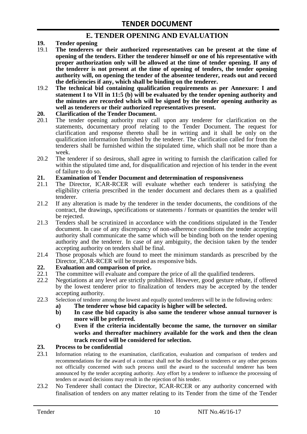# **E. TENDER OPENING AND EVALUATION**

- **19. Tender opening**
- 19.1 **The tenderers or their authorized representatives can be present at the time of opening of the tenders. Either the tenderer himself or one of his representative with proper authorization only will be allowed at the time of tender opening. If any of the tenderer is not present at the time of opening of tenders, the tender opening authority will, on opening the tender of the absentee tenderer, reads out and record the deficiencies if any, which shall be binding on the tenderer.**
- 19.2 **The technical bid containing qualification requirements as per Annexure: I and statement I to VII in 11:5 (b) will be evaluated by the tender opening authority and the minutes are recorded which will be signed by the tender opening authority as well as tenderers or their authorized representatives present.**

#### **20. Clarification of the Tender Document.**

- 20.1 The tender opening authority may call upon any tenderer for clarification on the statements, documentary proof relating to the Tender Document. The request for clarification and response thereto shall be in writing and it shall be only on the qualification information furnished by the tenderer. The clarification called for from the tenderers shall be furnished within the stipulated time, which shall not be more than a week.
- 20.2 The tenderer if so desirous, shall agree in writing to furnish the clarification called for within the stipulated time and, for disqualification and rejection of his tender in the event of failure to do so.

# **21. Examination of Tender Document and determination of responsiveness**

- 21.1 The Director, ICAR-RCER will evaluate whether each tenderer is satisfying the eligibility criteria prescribed in the tender document and declares them as a qualified tenderer.
- 21.2 If any alteration is made by the tenderer in the tender documents, the conditions of the contract, the drawings, specifications or statements / formats or quantities the tender will be rejected.
- 21.3 Tenders shall be scrutinized in accordance with the conditions stipulated in the Tender document. In case of any discrepancy of non-adherence conditions the tender accepting authority shall communicate the same which will be binding both on the tender opening authority and the tenderer. In case of any ambiguity, the decision taken by the tender accepting authority on tenders shall be final.
- 21.4 Those proposals which are found to meet the minimum standards as prescribed by the Director, ICAR-RCER will be treated as responsive bids.

# **22. Evaluation and comparison of price.**

- The committee will evaluate and compare the price of all the qualified tenderers.
- 22.2 Negotiations at any level are strictly prohibited. However, good gesture rebate, if offered by the lowest tenderer prior to finalization of tenders may be accepted by the tender accepting authority.
- 22.3 Selection of tenderer among the lowest and equally quoted tenderers will be in the following orders:
	- **a) The tenderer whose bid capacity is higher will be selected.**
	- **b) In case the bid capacity is also same the tenderer whose annual turnover is more will be preferred.**
	- **c) Even if the criteria incidentally become the same, the turnover on similar works and thereafter machinery available for the work and then the clean track record will be considered for selection.**

#### **23. Process to be confidential**

- 23.1 Information relating to the examination, clarification, evaluation and comparison of tenders and recommendations for the award of a contract shall not be disclosed to tenderers or any other persons not officially concerned with such process until the award to the successful tenderer has been announced by the tender accepting authority. Any effort by a tenderer to influence the processing of tenders or award decisions may result in the rejection of his tender.
- 23.2 No Tenderer shall contact the Director, ICAR-RCER or any authority concerned with finalisation of tenders on any matter relating to its Tender from the time of the Tender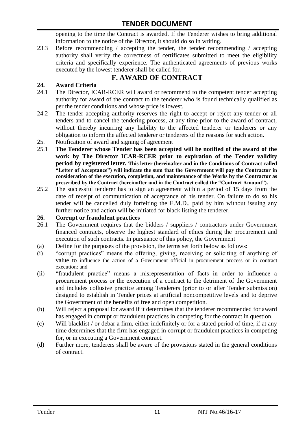opening to the time the Contract is awarded. If the Tenderer wishes to bring additional information to the notice of the Director, it should do so in writing.

23.3 Before recommending / accepting the tender, the tender recommending / accepting authority shall verify the correctness of certificates submitted to meet the eligibility criteria and specifically experience. The authenticated agreements of previous works executed by the lowest tenderer shall be called for.

# **F. AWARD OF CONTRACT**

# **24. Award Criteria**

- 24.1 The Director, ICAR-RCER will award or recommend to the competent tender accepting authority for award of the contract to the tenderer who is found technically qualified as per the tender conditions and whose price is lowest.
- 24.2 The tender accepting authority reserves the right to accept or reject any tender or all tenders and to cancel the tendering process, at any time prior to the award of contract, without thereby incurring any liability to the affected tenderer or tenderers or any obligation to inform the affected tenderer or tenderers of the reasons for such action.
- 25. Notification of award and signing of agreement
- 25.1 **The Tenderer whose Tender has been accepted will be notified of the award of the work by The Director ICAR-RCER prior to expiration of the Tender validity period by registered letter. This letter (hereinafter and in the Conditions of Contract called "Letter of Acceptance") will indicate the sum that the Government will pay the Contractor in consideration of the execution, completion, and maintenance of the Works by the Contractor as prescribed by the Contract (hereinafter and in the Contract called the "Contract Amount").**
- 25.2 The successful tenderer has to sign an agreement within a period of 15 days from the date of receipt of communication of acceptance of his tender. On failure to do so his tender will be cancelled duly forfeiting the E.M.D., paid by him without issuing any further notice and action will be initiated for black listing the tenderer.

### **26. Corrupt or fraudulent practices**

- 26.1 The Government requires that the bidders / suppliers / contractors under Government financed contracts, observe the highest standard of ethics during the procurement and execution of such contracts. In pursuance of this policy, the Government
- (a) Define for the purposes of the provision, the terms set forth below as follows:
- (i) "corrupt practices" means the offering, giving, receiving or soliciting of anything of value to influence the action of a Government official in procurement process or in contract execution: and
- (ii) "fraudulent practice" means a misrepresentation of facts in order to influence a procurement process or the execution of a contract to the detriment of the Government and includes collusive practice among Tenderers (prior to or after Tender submission) designed to establish in Tender prices at artificial noncompetitive levels and to deprive the Government of the benefits of free and open competition.
- (b) Will reject a proposal for award if it determines that the tenderer recommended for award has engaged in corrupt or fraudulent practices in competing for the contract in question.
- (c) Will blacklist / or debar a firm, either indefinitely or for a stated period of time, if at any time determines that the firm has engaged in corrupt or fraudulent practices in competing for, or in executing a Government contract.
- (d) Further more, tenderers shall be aware of the provisions stated in the general conditions of contract.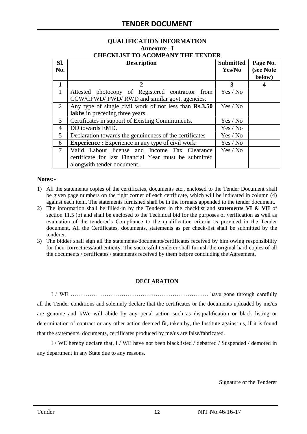#### **QUALIFICATION INFORMATION Annexure –I CHECKLIST TO ACOMPANY THE TENDER**

| Sl.<br>No.   | <b>Description</b>                                                                                                                   | <b>Submitted</b><br>Yes/No | Page No.<br>(see Note<br>below) |
|--------------|--------------------------------------------------------------------------------------------------------------------------------------|----------------------------|---------------------------------|
| 1            | $\mathcal{D}_{\cdot}$                                                                                                                | 3                          |                                 |
| $\mathbf{1}$ | Attested photocopy of Registered contractor from<br>CCW/CPWD/ PWD/ RWD and similar govt. agencies.                                   | Yes / No                   |                                 |
| 2            | Any type of single civil work of not less than Rs.3.50<br>lakhs in preceding three years.                                            | Yes / No                   |                                 |
| 3            | Certificates in support of Existing Commitments.                                                                                     | Yes / No                   |                                 |
| 4            | DD towards EMD.                                                                                                                      | Yes / No                   |                                 |
| 5            | Declaration towards the genuineness of the certificates                                                                              | Yes / No                   |                                 |
| 6            | <b>Experience :</b> Experience in any type of civil work                                                                             | Yes / No                   |                                 |
| 7            | Valid Labour license and Income Tax Clearance<br>certificate for last Financial Year must be submitted<br>alongwith tender document. | Yes / No                   |                                 |

#### **Notes:-**

- 1) All the statements copies of the certificates, documents etc., enclosed to the Tender Document shall be given page numbers on the right corner of each certificate, which will be indicated in column (4) against each item. The statements furnished shall be in the formats appended to the tender document.
- 2) The information shall be filled-in by the Tenderer in the checklist and **statements VI & VII** of section 11.5 (b) and shall be enclosed to the Technical bid for the purposes of verification as well as evaluation of the tenderer"s Compliance to the qualification criteria as provided in the Tender document. All the Certificates, documents, statements as per check-list shall be submitted by the tenderer.
- 3) The bidder shall sign all the statements/documents/certificates received by him owing responsibility for their correctness/authenticity. The successful tenderer shall furnish the original hard copies of all the documents / certificates / statements received by them before concluding the Agreement.

#### **DECLARATION**

I / WE ………………………………………………………………. have gone through carefully all the Tender conditions and solemnly declare that the certificates or the documents uploaded by me/us are genuine and I/We will abide by any penal action such as disqualification or black listing or determination of contract or any other action deemed fit, taken by, the Institute against us, if it is found that the statements, documents, certificates produced by me/us are false/fabricated.

I / WE hereby declare that, I / WE have not been blacklisted / debarred / Suspended / demoted in any department in any State due to any reasons.

Signature of the Tenderer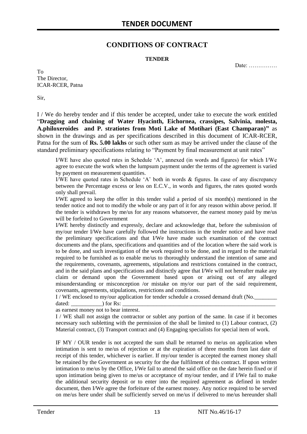# **CONDITIONS OF CONTRACT**

#### **TENDER**

Date: ……………

To The Director, ICAR-RCER, Patna

Sir,

I / We do hereby tender and if this tender be accepted, under take to execute the work entitled "**Dragging and chaining of Water Hyacinth, Eichornea, crassipes, Salvinia, molesta, A.philoxeroides and P. stratiotes from Moti Lake of Motihari (East Champaran)"** as shown in the drawings and as per specifications described in this document of ICAR-RCER, Patna for the sum of **Rs. 5.00 lakhs** or such other sum as may be arrived under the clause of the standard preliminary specifications relating to "Payment by final measurement at unit rates"

I/WE have also quoted rates in Schedule "A", annexed (in words and figures) for which I/We agree to execute the work when the lumpsum payment under the terms of the agreement is varied by payment on measurement quantities.

I/WE have quoted rates in Schedule "A" both in words & figures. In case of any discrepancy between the Percentage excess or less on E.C.V., in words and figures, the rates quoted words only shall prevail.

I/WE agreed to keep the offer in this tender valid a period of six month(s) mentioned in the tender notice and not to modify the whole or any part of it for any reason within above period. If the tender is withdrawn by me/us for any reasons whatsoever, the earnest money paid by me/us will be forfeited to Government

I/WE hereby distinctly and expressly, declare and acknowledge that, before the submission of my/our tender I/We have carefully followed the instructions in the tender notice and have read the preliminary specifications and that I/We have made such examination of the contract documents and the plans, specifications and quantities and of the location where the said work is to be done, and such investigation of the work required to be done, and in regard to the material required to be furnished as to enable me/us to thoroughly understand the intention of same and the requirements, covenants, agreements, stipulations and restrictions contained in the contract, and in the said plans and specifications and distinctly agree that I/We will not hereafter make any claim or demand upon the Government based upon or arising out of any alleged misunderstanding or misconception /or mistake on my/or our part of the said requirement, covenants, agreements, stipulations, restrictions and conditions.

I / WE enclosed to my/our application for tender schedule a crossed demand draft (No.

dated:  $\qquad \qquad$  ) for Rs:

as earnest money not to bear interest.

I / WE shall not assign the contractor or sublet any portion of the same. In case if it becomes necessary such subletting with the permission of the shall be limited to (1) Labour contract, (2) Material contract, (3) Transport contract and (4) Engaging specialists for special item of work.

IF MY / OUR tender is not accepted the sum shall be returned to me/us on application when intimation is sent to me/us of rejection or at the expiration of three months from last date of receipt of this tender, whichever is earlier. If my/our tender is accepted the earnest money shall be retained by the Government as security for the due fulfilment of this contract. If upon written intimation to me/us by the Office, I/We fail to attend the said office on the date herein fixed or if upon intimation being given to me/us or acceptance of my/our tender, and if I/We fail to make the additional security deposit or to enter into the required agreement as defined in tender document, then I/We agree the forfeiture of the earnest money. Any notice required to be served on me/us here under shall be sufficiently served on me/us if delivered to me/us hereunder shall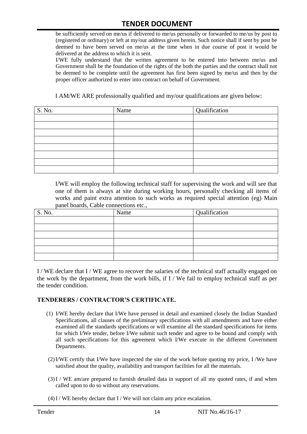be sufficiently served on me/us if delivered to me/us personally or forwarded to me/us by post to (registered or ordinary) or left at my/our address given herein. Such notice shall if sent by post be deemed to have been served on me/us at the time when in due course of post it would be delivered at the address to which it is sent.

I/WE fully understand that the written agreement to be entered into between me/us and Government shall be the foundation of the rights of the both the parties and the contract shall not be deemed to be complete until the agreement has first been signed by me/us and then by the proper officer authorized to enter into contract on behalf of Government.

I AM/WE ARE professionally qualified and my/our qualifications are given below:

| S. No. | Name | Qualification |
|--------|------|---------------|
|        |      |               |
|        |      |               |
|        |      |               |
|        |      |               |
|        |      |               |
|        |      |               |
|        |      |               |
|        |      |               |

I/WE will employ the following technical staff for supervising the work and will see that one of them is always at site during working hours, personally checking all items of works and paint extra attention to such works as required special attention (eg) Main panel boards, Cable connections etc.,

| S. No. | Name | Qualification |
|--------|------|---------------|
|        |      |               |
|        |      |               |
|        |      |               |
|        |      |               |
|        |      |               |
|        |      |               |

I / WE declare that I / WE agree to recover the salaries of the technical staff actually engaged on the work by the department, from the work bills, if I / We fail to employ technical staff as per the tender condition.

#### **TENDERERS / CONTRACTOR'S CERTIFICATE.**

- (1) I/WE hereby declare that I/We have perused in detail and examined closely the Indian Standard Specifications, all clauses of the preliminary specifications with all amendments and have either examined all the standards specifications or will examine all the standard specifications for items for which I/We tender, before I/We submit such tender and agree to be bound and comply with all such specifications for this agreement which I/We execute in the different Government Departments.
- (2)I/WE certify that I/We have inspected the site of the work before quoting my price, I /We have satisfied about the quality, availability and transport facilities for all the materials.
- (3)I / WE am/are prepared to furnish detailed data in support of all my quoted rates, if and when called upon to do so without any reservations.
- $(4)$  I / WE hereby declare that I / We will not claim any price escalation.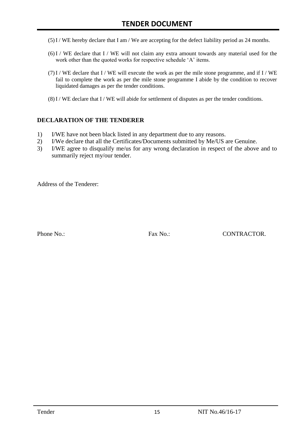- (5)I / WE hereby declare that I am / We are accepting for the defect liability period as 24 months.
- (6)I / WE declare that I / WE will not claim any extra amount towards any material used for the work other than the quoted works for respective schedule 'A' items.
- $(7)$ I / WE declare that I / WE will execute the work as per the mile stone programme, and if I / WE fail to complete the work as per the mile stone programme I abide by the condition to recover liquidated damages as per the tender conditions.
- $(8)$  I / WE declare that I / WE will abide for settlement of disputes as per the tender conditions.

#### **DECLARATION OF THE TENDERER**

- 1) I/WE have not been black listed in any department due to any reasons.
- 2) I/We declare that all the Certificates/Documents submitted by Me/US are Genuine.
- 3) I/WE agree to disqualify me/us for any wrong declaration in respect of the above and to summarily reject my/our tender.

Address of the Tenderer:

Phone No.: Fax No.: CONTRACTOR.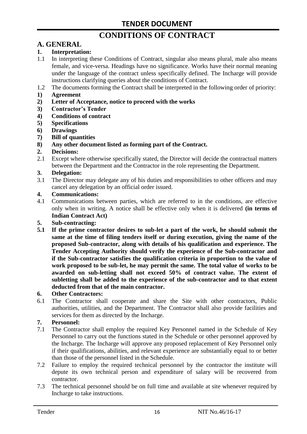# **CONDITIONS OF CONTRACT**

# **A. GENERAL**

### **1. Interpretation:**

- 1.1 In interpreting these Conditions of Contract, singular also means plural, male also means female, and vice-versa. Headings have no significance. Works have their normal meaning under the language of the contract unless specifically defined. The Incharge will provide instructions clarifying queries about the conditions of Contract.
- 1.2 The documents forming the Contract shall be interpreted in the following order of priority:
- **1) Agreement**
- **2) Letter of Acceptance, notice to proceed with the works**
- **3) Contractor's Tender**
- **4) Conditions of contract**
- **5) Specifications**
- **6) Drawings**
- **7) Bill of quantities**
- **8) Any other document listed as forming part of the Contract.**

#### **2. Decisions:**

2.1 Except where otherwise specifically stated, the Director will decide the contractual matters between the Department and the Contractor in the role representing the Department.

#### **3. Delegation:**

3.1 The Director may delegate any of his duties and responsibilities to other officers and may cancel any delegation by an official order issued.

#### **4. Communications:**

4.1 Communications between parties, which are referred to in the conditions, are effective only when in writing. A notice shall be effective only when it is delivered **(in terms of Indian Contract Act)**

#### **5. Sub-contracting:**

**5.1 If the prime contractor desires to sub-let a part of the work, he should submit the same at the time of filing tenders itself or during execution, giving the name of the proposed Sub-contractor, along with details of his qualification and experience. The Tender Accepting Authority should verify the experience of the Sub-contractor and if the Sub-contractor satisfies the qualification criteria in proportion to the value of work proposed to be sub-let, he may permit the same. The total value of works to be awarded on sub-letting shall not exceed 50% of contract value. The extent of subletting shall be added to the experience of the sub-contractor and to that extent deducted from that of the main contractor.**

#### **6. Other Contractors:**

6.1 The Contractor shall cooperate and share the Site with other contractors, Public authorities, utilities, and the Department. The Contractor shall also provide facilities and services for them as directed by the Incharge.

#### **7. Personnel:**

- 7.1 The Contractor shall employ the required Key Personnel named in the Schedule of Key Personnel to carry out the functions stated in the Schedule or other personnel approved by the Incharge. The Incharge will approve any proposed replacement of Key Personnel only if their qualifications, abilities, and relevant experience are substantially equal to or better than those of the personnel listed in the Schedule.
- 7.2 Failure to employ the required technical personnel by the contractor the institute will depute its own technical person and expenditure of salary will be recovered from contractor.
- 7.3 The technical personnel should be on full time and available at site whenever required by Incharge to take instructions.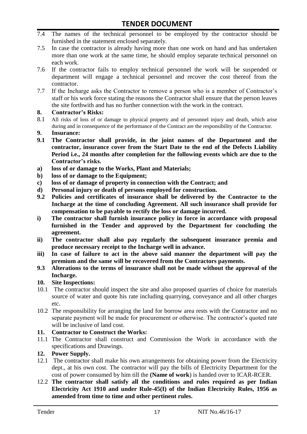- 7.4 The names of the technical personnel to be employed by the contractor should be furnished in the statement enclosed separately.
- 7.5 In case the contractor is already having more than one work on hand and has undertaken more than one work at the same time, he should employ separate technical personnel on each work.
- 7.6 If the contractor fails to employ technical personnel the work will be suspended or department will engage a technical personnel and recover the cost thereof from the contractor.
- 7.7 If the Incharge asks the Contractor to remove a person who is a member of Contractor"s staff or his work force stating the reasons the Contractor shall ensure that the person leaves the site forthwith and has no further connection with the work in the contract.

#### **8. Contractor's Risks:**

- 8.1 All risks of loss of or damage to physical property and of personnel injury and death, which arise during and in consequence of the performance of the Contract are the responsibility of the Contractor.
- **9. Insurance:**
- **9.1 The Contractor shall provide, in the joint names of the Department and the contractor, insurance cover from the Start Date to the end of the Defects Liability Period i.e., 24 months after completion for the following events which are due to the Contractor's risks.**
- **a) loss of or damage to the Works, Plant and Materials;**
- **b) loss of or damage to the Equipment;**
- **c) loss of or damage of property in connection with the Contract; and**
- **d) Personal injury or death of persons employed for construction.**
- **9.2 Policies and certificates of insurance shall be delivered by the Contractor to the Incharge at the time of concluding Agreement. All such insurance shall provide for compensation to be payable to rectify the loss or damage incurred.**
- **i) The contractor shall furnish insurance policy in force in accordance with proposal furnished in the Tender and approved by the Department for concluding the agreement.**
- **ii) The contractor shall also pay regularly the subsequent insurance premia and produce necessary receipt to the Incharge well in advance.**
- **iii) In case of failure to act in the above said manner the department will pay the premium and the same will be recovered from the Contractors payments.**
- **9.3 Alterations to the terms of insurance shall not be made without the approval of the Incharge.**

# **10. Site Inspections:**

- 10.1 The contractor should inspect the site and also proposed quarries of choice for materials source of water and quote his rate including quarrying, conveyance and all other charges etc.
- 10.2 The responsibility for arranging the land for borrow area rests with the Contractor and no separate payment will be made for procurement or otherwise. The contractor's quoted rate will be inclusive of land cost.

# **11. Contractor to Construct the Works:**

11.1 The Contractor shall construct and Commission the Work in accordance with the specifications and Drawings.

# **12. Power Supply.**

- 12.1 The contractor shall make his own arrangements for obtaining power from the Electricity dept., at his own cost. The contractor will pay the bills of Electricity Department for the cost of power consumed by him till the **(Name of work**) is handed over to ICAR-RCER.
- 12.2 **The contractor shall satisfy all the conditions and rules required as per Indian Electricity Act 1910 and under Rule-45(I) of the Indian Electricity Rules, 1956 as amended from time to time and other pertinent rules.**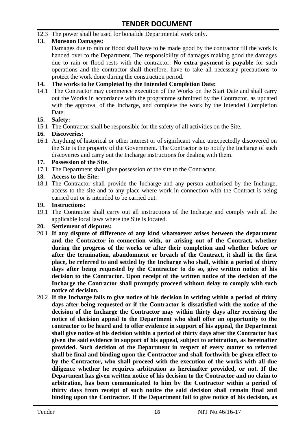12.3 The power shall be used for bonafide Departmental work only.

# **13. Monsoon Damages:**

Damages due to rain or flood shall have to be made good by the contractor till the work is handed over to the Department. The responsibility of damages making good the damages due to rain or flood rests with the contractor. **No extra payment is payable** for such operations and the contractor shall therefore, have to take all necessary precautions to protect the work done during the construction period.

#### **14. The works to be Completed by the Intended Completion Date:**

14.1 The Contractor may commence execution of the Works on the Start Date and shall carry out the Works in accordance with the programme submitted by the Contractor, as updated with the approval of the Incharge, and complete the work by the Intended Completion Date.

#### **15. Safety:**

15.1 The Contractor shall be responsible for the safety of all activities on the Site.

#### **16. Discoveries:**

16.1 Anything of historical or other interest or of significant value unexpectedly discovered on the Site is the property of the Government. The Contractor is to notify the Incharge of such discoveries and carry out the Incharge instructions for dealing with them.

#### **17. Possession of the Site.**

17.1 The Department shall give possession of the site to the Contractor.

# **18. Access to the Site:**

18.1 The Contractor shall provide the Incharge and any person authorised by the Incharge, access to the site and to any place where work in connection with the Contract is being carried out or is intended to be carried out.

#### **19. Instructions:**

- 19.1 The Contractor shall carry out all instructions of the Incharge and comply with all the applicable local laws where the Site is located.
- **20. Settlement of disputes:**
- 20.1 **If any dispute of difference of any kind whatsoever arises between the department and the Contractor in connection with, or arising out of the Contract, whether during the progress of the works or after their completion and whether before or after the termination, abandonment or breach of the Contract, it shall in the first place, be referred to and settled by the Incharge who shall, within a period of thirty days after being requested by the Contractor to do so, give written notice of his decision to the Contractor. Upon receipt of the written notice of the decision of the Incharge the Contractor shall promptly proceed without delay to comply with such notice of decision.**
- 20.2 **If the Incharge fails to give notice of his decision in writing within a period of thirty days after being requested or if the Contractor is dissatisfied with the notice of the decision of the Incharge the Contractor may within thirty days after receiving the notice of decision appeal to the Department who shall offer an opportunity to the contractor to be heard and to offer evidence in support of his appeal, the Department shall give notice of his decision within a period of thirty days after the Contractor has given the said evidence in support of his appeal, subject to arbitration, as hereinafter provided. Such decision of the Department in respect of every matter so referred shall be final and binding upon the Contractor and shall forthwith be given effect to by the Contractor, who shall proceed with the execution of the works with all due diligence whether he requires arbitration as hereinafter provided, or not. If the Department has given written notice of his decision to the Contractor and no claim to arbitration, has been communicated to him by the Contractor within a period of thirty days from receipt of such notice the said decision shall remain final and binding upon the Contractor. If the Department fail to give notice of his decision, as**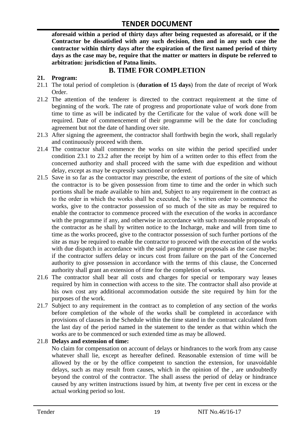**aforesaid within a period of thirty days after being requested as aforesaid, or if the Contractor be dissatisfied with any such decision, then and in any such case the contractor within thirty days after the expiration of the first named period of thirty days as the case may be, require that the matter or matters in dispute be referred to arbitration: jurisdiction of Patna limits.**

# **B. TIME FOR COMPLETION**

# **21. Program:**

- 21.1 The total period of completion is (**duration of 15 days**) from the date of receipt of Work Order.
- 21.2 The attention of the tenderer is directed to the contract requirement at the time of beginning of the work. The rate of progress and proportionate value of work done from time to time as will be indicated by the Certificate for the value of work done will be required. Date of commencement of their programme will be the date for concluding agreement but not the date of handing over site.
- 21.3 After signing the agreement, the contractor shall forthwith begin the work, shall regularly and continuously proceed with them.
- 21.4 The contractor shall commence the works on site within the period specified under condition 23.1 to 23.2 after the receipt by him of a written order to this effect from the concerned authority and shall proceed with the same with due expedition and without delay, except as may be expressly sanctioned or ordered.
- 21.5 Save in so far as the contractor may prescribe, the extent of portions of the site of which the contractor is to be given possession from time to time and the order in which such portions shall be made available to him and, Subject to any requirement in the contract as to the order in which the works shall be executed, the "s written order to commence the works, give to the contractor possession of so much of the site as may be required to enable the contractor to commence proceed with the execution of the works in accordance with the programme if any, and otherwise in accordance with such reasonable proposals of the contractor as he shall by written notice to the Incharge, make and will from time to time as the works proceed, give to the contractor possession of such further portions of the site as may be required to enable the contractor to proceed with the execution of the works with due dispatch in accordance with the said programme or proposals as the case maybe; if the contractor suffers delay or incurs cost from failure on the part of the Concerned authority to give possession in accordance with the terms of this clause, the Concerned authority shall grant an extension of time for the completion of works.
- 21.6 The contractor shall bear all costs and charges for special or temporary way leases required by him in connection with access to the site. The contractor shall also provide at his own cost any additional accommodation outside the site required by him for the purposes of the work.
- 21.7 Subject to any requirement in the contract as to completion of any section of the works before completion of the whole of the works shall be completed in accordance with provisions of clauses in the Schedule within the time stated in the contract calculated from the last day of the period named in the statement to the tender as that within which the works are to be commenced or such extended time as may be allowed.

# 21.8 **Delays and extension of time:**

No claim for compensation on account of delays or hindrances to the work from any cause whatever shall lie, except as hereafter defined. Reasonable extension of time will be allowed by the or by the office competent to sanction the extension, for unavoidable delays, such as may result from causes, which in the opinion of the , are undoubtedly beyond the control of the contractor. The shall assess the period of delay or hindrance caused by any written instructions issued by him, at twenty five per cent in excess or the actual working period so lost.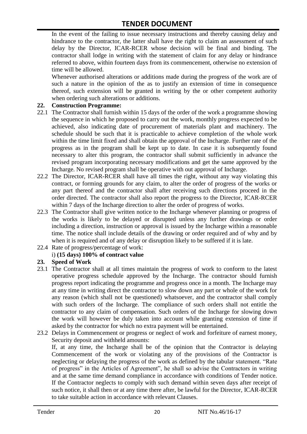In the event of the failing to issue necessary instructions and thereby causing delay and hindrance to the contractor, the latter shall have the right to claim an assessment of such delay by the Director, ICAR-RCER whose decision will be final and binding. The contractor shall lodge in writing with the statement of claim for any delay or hindrance referred to above, within fourteen days from its commencement, otherwise no extension of time will be allowed.

Whenever authorised alterations or additions made during the progress of the work are of such a nature in the opinion of the as to justify an extension of time in consequence thereof, such extension will be granted in writing by the or other competent authority when ordering such alterations or additions.

#### **22. Construction Programme:**

- 22.1 The Contractor shall furnish within 15 days of the order of the work a programme showing the sequence in which he proposed to carry out the work, monthly progress expected to be achieved, also indicating date of procurement of materials plant and machinery. The schedule should be such that it is practicable to achieve completion of the whole work within the time limit fixed and shall obtain the approval of the Incharge. Further rate of the progress as in the program shall be kept up to date. In case it is subsequently found necessary to alter this program, the contractor shall submit sufficiently in advance the revised program incorporating necessary modifications and get the same approved by the Incharge. No revised program shall be operative with out approval of Incharge.
- 22.2 The Director, ICAR-RCER shall have all times the right, without any way violating this contract, or forming grounds for any claim, to alter the order of progress of the works or any part thereof and the contractor shall after receiving such directions proceed in the order directed. The contractor shall also report the progress to the Director, ICAR-RCER within 7 days of the Incharge direction to alter the order of progress of works.
- 22.3 The Contractor shall give written notice to the Incharge whenever planning or progress of the works is likely to be delayed or disrupted unless any further drawings or order including a direction, instruction or approval is issued by the Incharge within a reasonable time. The notice shall include details of the drawing or order required and of why and by when it is required and of any delay or disruption likely to be suffered if it is late.
- 22.4 Rate of progress/percentage of work:

# i) **(15 days) 100% of contract value**

#### **23. Speed of Work**

- 23.1 The Contractor shall at all times maintain the progress of work to conform to the latest operative progress schedule approved by the Incharge. The contractor should furnish progress report indicating the programme and progress once in a month. The Incharge may at any time in writing direct the contractor to slow down any part or whole of the work for any reason (which shall not be questioned) whatsoever, and the contractor shall comply with such orders of the Incharge. The compliance of such orders shall not entitle the contractor to any claim of compensation. Such orders of the Incharge for slowing down the work will however be duly taken into account while granting extension of time if asked by the contractor for which no extra payment will be entertained.
- 23.2 Delays in Commencement or progress or neglect of work and forfeiture of earnest money, Security deposit and withheld amounts:

If, at any time, the Incharge shall be of the opinion that the Contractor is delaying Commencement of the work or violating any of the provisions of the Contractor is neglecting or delaying the progress of the work as defined by the tabular statement. "Rate of progress" in the Articles of Agreement", he shall so advise the Contractors in writing and at the same time demand compliance in accordance with conditions of Tender notice. If the Contractor neglects to comply with such demand within seven days after receipt of such notice, it shall then or at any time there after, be lawful for the Director, ICAR-RCER to take suitable action in accordance with relevant Clauses.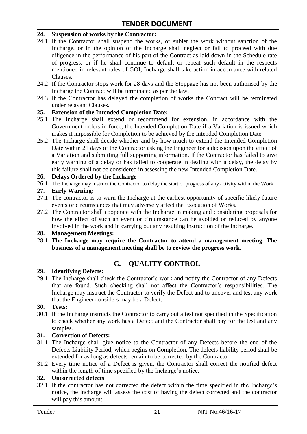#### **24. Suspension of works by the Contractor:**

- 24.1 If the Contractor shall suspend the works, or sublet the work without sanction of the Incharge, or in the opinion of the Incharge shall neglect or fail to proceed with due diligence in the performance of his part of the Contract as laid down in the Schedule rate of progress, or if he shall continue to default or repeat such default in the respects mentioned in relevant rules of GOI, Incharge shall take action in accordance with related Clauses.
- 24.2 If the Contractor stops work for 28 days and the Stoppage has not been authorised by the Incharge the Contract will be terminated as per the law.
- 24.3 If the Contractor has delayed the completion of works the Contract will be terminated under relavant Clauses.

#### **25. Extension of the Intended Completion Date:**

- 25.1 The Incharge shall extend or recommend for extension, in accordance with the Government orders in force, the Intended Completion Date if a Variation is issued which makes it impossible for Completion to be achieved by the Intended Completion Date.
- 25.2 The Incharge shall decide whether and by how much to extend the Intended Completion Date within 21 days of the Contractor asking the Engineer for a decision upon the effect of a Variation and submitting full supporting information. If the Contractor has failed to give early warning of a delay or has failed to cooperate in dealing with a delay, the delay by this failure shall not be considered in assessing the new Intended Completion Date.

#### **26. Delays Ordered by the Incharge**

26.1 The Incharge may instruct the Contractor to delay the start or progress of any activity within the Work.

#### **27. Early Warning:**

- 27.1 The contractor is to warn the Incharge at the earliest opportunity of specific likely future events or circumstances that may adversely affect the Execution of Works.
- 27.2 The Contractor shall cooperate with the Incharge in making and considering proposals for how the effect of such an event or circumstance can be avoided or reduced by anyone involved in the work and in carrying out any resulting instruction of the Incharge.

#### **28. Management Meetings:**

28.1 **The Incharge may require the Contractor to attend a management meeting. The business of a management meeting shall be to review the progress work.**

# **C. QUALITY CONTROL**

#### **29. Identifying Defects:**

29.1 The Incharge shall check the Contractor's work and notify the Contractor of any Defects that are found. Such checking shall not affect the Contractor"s responsibilities. The Incharge may instruct the Contractor to verify the Defect and to uncover and test any work that the Engineer considers may be a Defect.

#### **30. Tests:**

30.1 If the Incharge instructs the Contractor to carry out a test not specified in the Specification to check whether any work has a Defect and the Contractor shall pay for the test and any samples.

#### **31. Correction of Defects:**

- 31.1 The Incharge shall give notice to the Contractor of any Defects before the end of the Defects Liability Period, which begins on Completion. The defects liability period shall be extended for as long as defects remain to be corrected by the Contractor.
- 31.2 Every time notice of a Defect is given, the Contractor shall correct the notified defect within the length of time specified by the Incharge's notice.

# **32. Uncorrected defects**

32.1 If the contractor has not corrected the defect within the time specified in the Incharge"s notice, the Incharge will assess the cost of having the defect corrected and the contractor will pay this amount.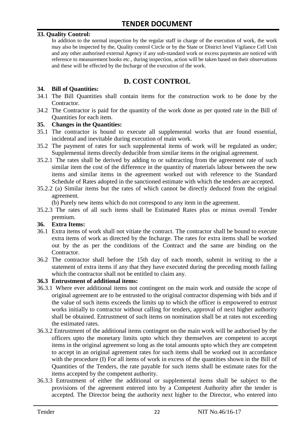#### **33. Quality Control:**

In addition to the normal inspection by the regular staff in charge of the execution of work, the work may also be inspected by the, Quality control Circle or by the State or District level Vigilance Cell Unit and any other authorised external Agency if any sub-standard work or excess payments are noticed with reference to measurement books etc., during inspection, action will be taken based on their observations and these will be effected by the Incharge of the execution of the work.

# **D. COST CONTROL**

#### **34. Bill of Quantities:**

- 34.1 The Bill Quantities shall contain items for the construction work to be done by the Contractor.
- 34.2 The Contractor is paid for the quantity of the work done as per quoted rate in the Bill of Quantities for each item.

#### **35. Changes in the Quantities:**

- 35.1 The contractor is bound to execute all supplemental works that are found essential, incidental and inevitable during execution of main work.
- 35.2 The payment of rates for such supplemental items of work will be regulated as under; Supplemental items directly deducible from similar items in the original agreement.
- 35.2.1 The rates shall be derived by adding to or subtracting from the agreement rate of such similar item the cost of the difference in the quantity of materials labour between the new items and similar items in the agreement worked out with reference to the Standard Schedule of Rates adopted in the sanctioned estimate with which the tenders are accepted.
- 35.2.2 (a) Similar items but the rates of which cannot be directly deduced from the original agreement.

(b) Purely new items which do not correspond to any item in the agreement.

35.2.3 The rates of all such items shall be Estimated Rates plus or minus overall Tender premium.

#### **36. Extra Items:**

- 36.1 Extra items of work shall not vitiate the contract. The contractor shall be bound to execute extra items of work as directed by the Incharge. The rates for extra items shall be worked out by the as per the conditions of the Contract and the same are binding on the Contractor.
- 36.2 The contractor shall before the 15th day of each month, submit in writing to the a statement of extra items if any that they have executed during the preceding month failing which the contractor shall not be entitled to claim any.

#### **36.3 Entrustment of additional items:**

- 36.3.1 Where ever additional items not contingent on the main work and outside the scope of original agreement are to be entrusted to the original contractor dispensing with bids and if the value of such items exceeds the limits up to which the officer is empowered to entrust works initially to contractor without calling for tenders, approval of next higher authority shall be obtained. Entrustment of such items on nomination shall be at rates not exceeding the estimated rates.
- 36.3.2 Entrustment of the additional items contingent on the main work will be authorised by the officers upto the monetary limits upto which they themselves are competent to accept items in the original agreement so long as the total amounts upto which they are competent to accept in an original agreement rates for such items shall be worked out in accordance with the procedure (I) For all items of work in excess of the quantities shown in the Bill of Quantities of the Tenders, the rate payable for such items shall be estimate rates for the items accepted by the competent authority.
- 36.3.3 Entrustment of either the additional or supplemental items shall be subject to the provisions of the agreement entered into by a Competent Authority after the tender is accepted. The Director being the authority next higher to the Director, who entered into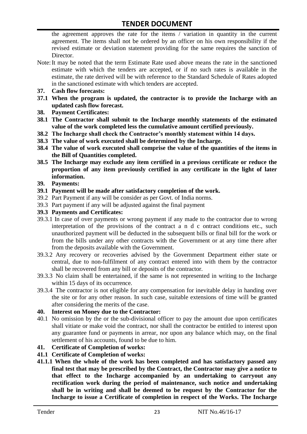the agreement approves the rate for the items / variation in quantity in the current agreement. The items shall not be ordered by an officer on his own responsibility if the revised estimate or deviation statement providing for the same requires the sanction of Director.

- Note:It may be noted that the term Estimate Rate used above means the rate in the sanctioned estimate with which the tenders are accepted, or if no such rates is available in the estimate, the rate derived will be with reference to the Standard Schedule of Rates adopted in the sanctioned estimate with which tenders are accepted.
- **37. Cash flow forecasts:**
- **37.1 When the program is updated, the contractor is to provide the Incharge with an updated cash flow forecast.**
- **38. Payment Certificates:**
- **38.1 The Contractor shall submit to the Incharge monthly statements of the estimated value of the work completed less the cumulative amount certified previously.**
- **38.2 The Incharge shall check the Contractor's monthly statement within 14 days.**
- **38.3 The value of work executed shall be determined by the Incharge.**
- **38.4 The value of work executed shall comprise the value of the quantities of the items in the Bill of Quantities completed.**
- **38.5 The Incharge may exclude any item certified in a previous certificate or reduce the proportion of any item previously certified in any certificate in the light of later information.**
- **39. Payments:**
- **39.1 Payment will be made after satisfactory completion of the work.**
- 39.2 Part Payment if any will be consider as per Govt. of India norms.
- 39.3 Part payment if any will be adjusted against the final payment
- **39.3 Payments and Certificates:**
- 39.3.1 In case of over payments or wrong payment if any made to the contractor due to wrong interpretation of the provisions of the contract a n d c ontract conditions etc., such unauthorized payment will be deducted in the subsequent bills or final bill for the work or from the bills under any other contracts with the Government or at any time there after from the deposits available with the Government.
- 39.3.2 Any recovery or recoveries advised by the Government Department either state or central, due to non-fulfilment of any contract entered into with them by the contractor shall be recovered from any bill or deposits of the contractor.
- 39.3.3 No claim shall be entertained, if the same is not represented in writing to the Incharge within 15 days of its occurrence.
- 39.3.4 The contractor is not eligible for any compensation for inevitable delay in handing over the site or for any other reason. In such case, suitable extensions of time will be granted after considering the merits of the case.

#### **40. Interest on Money due to the Contractor:**

- 40.1 No omission by the or the sub-divisional officer to pay the amount due upon certificates shall vitiate or make void the contract, nor shall the contractor be entitled to interest upon any guarantee fund or payments in arrear, nor upon any balance which may, on the final settlement of his accounts, found to be due to him.
- **41. Certificate of Completion of works:**
- **41.1 Certificate of Completion of works:**
- **41.1.1 When the whole of the work has been completed and has satisfactory passed any final test that may be prescribed by the Contract, the Contractor may give a notice to that effect to the Incharge accompanied by an undertaking to carryout any rectification work during the period of maintenance, such notice and undertaking shall be in writing and shall be deemed to be request by the Contractor for the Incharge to issue a Certificate of completion in respect of the Works. The Incharge**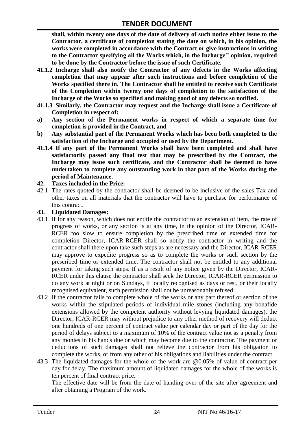**shall, within twenty one days of the date of delivery of such notice either issue to the Contractor, a certificate of completion stating the date on which, in his opinion, the works were completed in accordance with the Contract or give instructions in writing to the Contractor specifying all the Works which, in the Incharge'' opinion, required to be done by the Contractor before the issue of such Certificate.**

- **41.1.2 Incharge shall also notify the Contractor of any defects in the Works affecting completion that may appear after such instructions and before completion of the Works specified there in. The Contractor shall be entitled to receive such Certificate of the Completion within twenty one days of completion to the satisfaction of the Incharge of the Works so specified and making good of any defects so notified.**
- **41.1.3 Similarly, the Contractor may request and the Incharge shall issue a Certificate of Completion in respect of:**
- **a) Any section of the Permanent works in respect of which a separate time for completion is provided in the Contract, and**
- **b) Any substantial part of the Permanent Works which has been both completed to the satisfaction of the Incharge and occupied or used by the Department.**
- **41.1.4 If any part of the Permanent Works shall have been completed and shall have satisfactorily passed any final test that may be prescribed by the Contract, the Incharge may issue such certificate, and the Contractor shall be deemed to have undertaken to complete any outstanding work in that part of the Works during the period of Maintenance.**

#### **42. Taxes included in the Price:**

42.1 The rates quoted by the contractor shall be deemed to be inclusive of the sales Tax and other taxes on all materials that the contractor will have to purchase for performance of this contract.

#### **43. Liquidated Damages:**

- 43.1 If for any reason, which does not entitle the contractor to an extension of item, the rate of progress of works, or any section is at any time, in the opinion of the Director, ICAR-RCER too slow to ensure completion by the prescribed time or extended time for completion Director, ICAR-RCER shall so notify the contractor in writing and the contractor shall there upon take such steps as are necessary and the Director, ICAR-RCER may approve to expedite progress so as to complete the works or such section by the prescribed time or extended time. The contractor shall not be entitled to any additional payment for taking such steps. If as a result of any notice given by the Director, ICAR-RCER under this clause the contractor shall seek the Director, ICAR-RCER permission to do any work at night or on Sundays, if locally recognised as days or rest, or their locally recognised equivalent, such permission shall not be unreasonably refused.
- 43.2 If the contractor fails to complete whole of the works or any part thereof or section of the works within the stipulated periods of individual mile stones (including any bonafide extensions allowed by the competent authority without levying liquidated damages), the Director, ICAR-RCER may without prejudice to any other method of recovery will deduct one hundreds of one percent of contract value per calendar day or part of the day for the period of delays subject to a maximum of 10% of the contract value not as a penalty from any monies in his hands due or which may become due to the contractor. The payment or deductions of such damages shall not relieve the contractor from his obligation to complete the works, or from any other of his obligations and liabilities under the contract
- 43.3 The liquidated damages for the whole of the work are @0.05% of value of contract per day for delay. The maximum amount of liquidated damages for the whole of the works is ten percent of final contract price.

The effective date will be from the date of handing over of the site after agreement and after obtaining a Program of the work.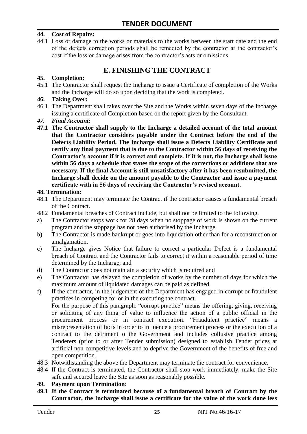#### **44. Cost of Repairs:**

44.1 Loss or damage to the works or materials to the works between the start date and the end of the defects correction periods shall be remedied by the contractor at the contractor"s cost if the loss or damage arises from the contractor's acts or omissions.

# **E. FINISHING THE CONTRACT**

#### **45. Completion:**

45.1 The Contractor shall request the Incharge to issue a Certificate of completion of the Works and the Incharge will do so upon deciding that the work is completed.

#### **46. Taking Over:**

- 46.1 The Department shall takes over the Site and the Works within seven days of the Incharge issuing a certificate of Completion based on the report given by the Consultant.
- *47. Final Account:*
- **47.1 The Contractor shall supply to the Incharge a detailed account of the total amount that the Contractor considers payable under the Contract before the end of the Defects Liability Period. The Incharge shall issue a Defects Liability Certificate and certify any final payment that is due to the Contractor within 56 days of receiving the Contractor's account if it is correct and complete. If it is not, the Incharge shall issue within 56 days a schedule that states the scope of the corrections or additions that are necessary. If the final Account is still unsatisfactory after it has been resubmitted, the Incharge shall decide on the amount payable to the Contractor and issue a payment certificate with in 56 days of receiving the Contractor's revised account.**

#### **48. Termination:**

- 48.1 The Department may terminate the Contract if the contractor causes a fundamental breach of the Contract.
- 48.2 Fundamental breaches of Contract include, but shall not be limited to the following.
- a) The Contractor stops work for 28 days when no stoppage of work is shown on the current program and the stoppage has not been authorised by the Incharge.
- b) The Contractor is made bankrupt or goes into liquidation other than for a reconstruction or amalgamation.
- c) The Incharge gives Notice that failure to correct a particular Defect is a fundamental breach of Contract and the Contractor fails to correct it within a reasonable period of time determined by the Incharge; and
- d) The Contractor does not maintain a security which is required and
- e) The Contractor has delayed the completion of works by the number of days for which the maximum amount of liquidated damages can be paid as defined.
- f) If the contractor, in the judgement of the Department has engaged in corrupt or fraudulent practices in competing for or in the executing the contract.

For the purpose of this paragraph: "corrupt practice" means the offering, giving, receiving or soliciting of any thing of value to influence the action of a public official in the procurement process or in contract execution. "Fraudulent practice" means a misrepresentation of facts in order to influence a procurement process or the execution of a contract to the detriment o the Government and includes collusive practice among Tenderers (prior to or after Tender submission) designed to establish Tender prices at artificial non-competitive levels and to deprive the Government of the benefits of free and open competition.

- 48.3 Notwithstanding the above the Department may terminate the contract for convenience.
- 48.4 If the Contract is terminated, the Contractor shall stop work immediately, make the Site safe and secured leave the Site as soon as reasonably possible.

#### **49. Payment upon Termination:**

**49.1 If the Contract is terminated because of a fundamental breach of Contract by the Contractor, the Incharge shall issue a certificate for the value of the work done less**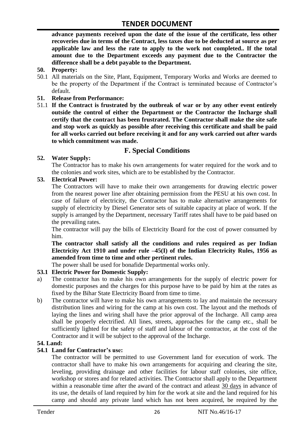**advance payments received upon the date of the issue of the certificate, less other recoveries due in terms of the Contract, less taxes due to be deducted at source as per applicable law and less the rate to apply to the work not completed.. If the total amount due to the Department exceeds any payment due to the Contractor the difference shall be a debt payable to the Department.**

- **50. Property:**
- 50.1 All materials on the Site, Plant, Equipment, Temporary Works and Works are deemed to be the property of the Department if the Contract is terminated because of Contractor's default.
- **51. Release from Performance:**
- 51.1 **If the Contract is frustrated by the outbreak of war or by any other event entirely outside the control of either the Department or the Contractor the Incharge shall certify that the contract has been frustrated. The Contractor shall make the site safe and stop work as quickly as possible after receiving this certificate and shall be paid for all works carried out before receiving it and for any work carried out after wards to which commitment was made.**

# **F. Special Conditions**

#### **52. Water Supply:**

The Contractor has to make his own arrangements for water required for the work and to the colonies and work sites, which are to be established by the Contractor.

#### **53. Electrical Power:**

The Contractors will have to make their own arrangements for drawing electric power from the nearest power line after obtaining permission from the PESU at his own cost. In case of failure of electricity, the Contractor has to make alternative arrangements for supply of electricity by Diesel Generator sets of suitable capacity at place of work. If the supply is arranged by the Department, necessary Tariff rates shall have to be paid based on the prevailing rates.

The contractor will pay the bills of Electricity Board for the cost of power consumed by him.

**The contractor shall satisfy all the conditions and rules required as per Indian Electricity Act 1910 and under rule –45(I) of the Indian Electricity Rules, 1956 as amended from time to time and other pertinent rules.**

The power shall be used for bonafide Departmental works only.

# **53.1 Electric Power for Domestic Supply:**

- a) The contractor has to make his own arrangements for the supply of electric power for domestic purposes and the charges for this purpose have to be paid by him at the rates as fixed by the Bihar State Electricity Board from time to time.
- b) The contractor will have to make his own arrangements to lay and maintain the necessary distribution lines and wiring for the camp at his own cost. The layout and the methods of laying the lines and wiring shall have the prior approval of the Incharge. All camp area shall be properly electrified. All lines, streets, approaches for the camp etc., shall be sufficiently lighted for the safety of staff and labour of the contractor, at the cost of the Contractor and it will be subject to the approval of the Incharge.

# **54. Land:**

#### **54.1 Land for Contractor's use:**

The contractor will be permitted to use Government land for execution of work. The contractor shall have to make his own arrangements for acquiring and clearing the site, leveling, providing drainage and other facilities for labour staff colonies, site office, workshop or stores and for related activities. The Contractor shall apply to the Department within a reasonable time after the award of the contract and atleast 30 days in advance of its use, the details of land required by him for the work at site and the land required for his camp and should any private land which has not been acquired, be required by the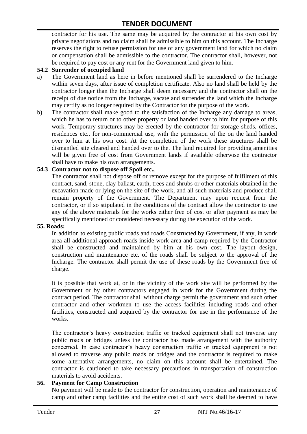contractor for his use. The same may be acquired by the contractor at his own cost by private negotiations and no claim shall be admissible to him on this account. The Incharge reserves the right to refuse permission for use of any government land for which no claim or compensation shall be admissible to the contractor. The contractor shall, however, not be required to pay cost or any rent for the Government land given to him.

#### **54.2 Surrender of occupied land**

- a) The Government land as here in before mentioned shall be surrendered to the Incharge within seven days, after issue of completion certificate. Also no land shall be held by the contractor longer than the Incharge shall deem necessary and the contractor shall on the receipt of due notice from the Incharge, vacate and surrender the land which the Incharge may certify as no longer required by the Contractor for the purpose of the work.
- b) The contractor shall make good to the satisfaction of the Incharge any damage to areas, which he has to return or to other property or land handed over to him for purpose of this work. Temporary structures may be erected by the contractor for storage sheds, offices, residences etc., for non-commercial use, with the permission of the on the land handed over to him at his own cost. At the completion of the work these structures shall be dismantled site cleared and handed over to the. The land required for providing amenities will be given free of cost from Government lands if available otherwise the contractor shall have to make his own arrangements.

#### **54.3 Contractor not to dispose off Spoil etc.,**

The contractor shall not dispose off or remove except for the purpose of fulfilment of this contract, sand, stone, clay ballast, earth, trees and shrubs or other materials obtained in the excavation made or lying on the site of the work, and all such materials and produce shall remain property of the Government. The Department may upon request from the contractor, or if so stipulated in the conditions of the contract allow the contractor to use any of the above materials for the works either free of cost or after payment as may be specifically mentioned or considered necessary during the execution of the work.

#### **55. Roads:**

In addition to existing public roads and roads Constructed by Government, if any, in work area all additional approach roads inside work area and camp required by the Contractor shall be constructed and maintained by him at his own cost. The layout design, construction and maintenance etc. of the roads shall be subject to the approval of the Incharge. The contractor shall permit the use of these roads by the Government free of charge.

It is possible that work at, or in the vicinity of the work site will be performed by the Government or by other contractors engaged in work for the Government during the contract period. The contractor shall without charge permit the government and such other contractor and other workmen to use the access facilities including roads and other facilities, constructed and acquired by the contractor for use in the performance of the works.

The contractor's heavy construction traffic or tracked equipment shall not traverse any public roads or bridges unless the contractor has made arrangement with the authority concerned. In case contractor"s heavy construction traffic or tracked equipment is not allowed to traverse any public roads or bridges and the contractor is required to make some alternative arrangements, no claim on this account shall be entertained. The contractor is cautioned to take necessary precautions in transportation of construction materials to avoid accidents.

#### **56. Payment for Camp Construction**

No payment will be made to the contractor for construction, operation and maintenance of camp and other camp facilities and the entire cost of such work shall be deemed to have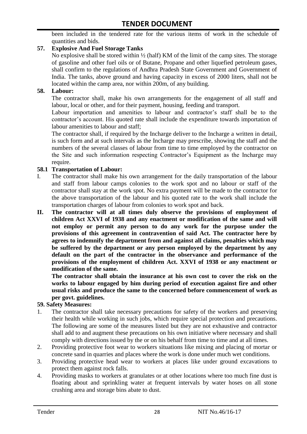been included in the tendered rate for the various items of work in the schedule of quantities and bids.

### **57. Explosive And Fuel Storage Tanks**

No explosive shall be stored within ½ (half) KM of the limit of the camp sites. The storage of gasoline and other fuel oils or of Butane, Propane and other liquefied petroleum gases, shall confirm to the regulations of Andhra Pradesh State Government and Government of India. The tanks, above ground and having capacity in excess of 2000 liters, shall not be located within the camp area, nor within 200m, of any building.

#### **58. Labour:**

The contractor shall, make his own arrangements for the engagement of all staff and labour, local or other, and for their payment, housing, feeding and transport.

Labour importation and amenities to labour and contractor's staff shall be to the contractor's account. His quoted rate shall include the expenditure towards importation of labour amenities to labour and staff;

The contractor shall, if required by the Incharge deliver to the Incharge a written in detail, is such form and at such intervals as the Incharge may prescribe, showing the staff and the numbers of the several classes of labour from time to time employed by the contractor on the Site and such information respecting Contractor"s Equipment as the Incharge may require.

#### **58.1 Transportation of Labour:**

- I. The contractor shall make his own arrangement for the daily transportation of the labour and staff from labour camps colonies to the work spot and no labour or staff of the contractor shall stay at the work spot. No extra payment will be made to the contractor for the above transportation of the labour and his quoted rate to the work shall include the transportation charges of labour from colonies to work spot and back.
- **II. The contractor will at all times duly observe the provisions of employment of children Act XXVI of 1938 and any enactment or modification of the same and will not employ or permit any person to do any work for the purpose under the provisions of this agreement in contravention of said Act. The contractor here by agrees to indemnify the department from and against all claims, penalties which may be suffered by the department or any person employed by the department by any default on the part of the contractor in the observance and performance of the provisions of the employment of children Act. XXVI of 1938 or any enactment or modification of the same.**

**The contractor shall obtain the insurance at his own cost to cover the risk on the works to labour engaged by him during period of execution against fire and other usual risks and produce the same to the concerned before commencement of work as per govt. guidelines.**

#### **59. Safety Measures:**

- 1. The contractor shall take necessary precautions for safety of the workers and preserving their health while working in such jobs, which require special protection and precautions. The following are some of the measures listed but they are not exhaustive and contractor shall add to and augment these precautions on his own initiative where necessary and shall comply with directions issued by the or on his behalf from time to time and at all times.
- 2. Providing protective foot wear to workers situations like mixing and placing of mortar or concrete sand in quarries and places where the work is done under much wet conditions.
- 3. Providing protective head wear to workers at places like under ground excavations to protect them against rock falls.
- 4. Providing masks to workers at granulates or at other locations where too much fine dust is floating about and sprinkling water at frequent intervals by water hoses on all stone crushing area and storage bins abate to dust.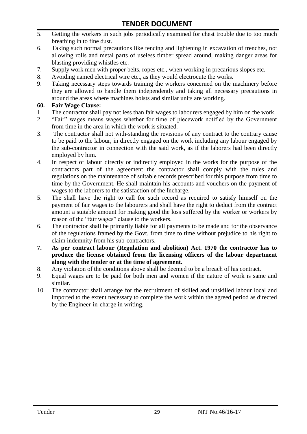- 5. Getting the workers in such jobs periodically examined for chest trouble due to too much breathing in to fine dust.
- 6. Taking such normal precautions like fencing and lightening in excavation of trenches, not allowing rolls and metal parts of useless timber spread around, making danger areas for blasting providing whistles etc.
- 7. Supply work men with proper belts, ropes etc., when working in precarious slopes etc.
- 8. Avoiding named electrical wire etc., as they would electrocute the works.
- 9. Taking necessary steps towards training the workers concerned on the machinery before they are allowed to handle them independently and taking all necessary precautions in around the areas where machines hoists and similar units are working.

#### **60. Fair Wage Clause:**

- 1. The contractor shall pay not less than fair wages to labourers engaged by him on the work.
- 2. "Fair" wages means wages whether for time of piecework notified by the Government from time in the area in which the work is situated.
- 3. The contractor shall not with-standing the revisions of any contract to the contrary cause to be paid to the labour, in directly engaged on the work including any labour engaged by the sub-contractor in connection with the said work, as if the laborers had been directly employed by him.
- 4. In respect of labour directly or indirectly employed in the works for the purpose of the contractors part of the agreement the contractor shall comply with the rules and regulations on the maintenance of suitable records prescribed for this purpose from time to time by the Government. He shall maintain his accounts and vouchers on the payment of wages to the laborers to the satisfaction of the Incharge.
- 5. The shall have the right to call for such record as required to satisfy himself on the payment of fair wages to the labourers and shall have the right to deduct from the contract amount a suitable amount for making good the loss suffered by the worker or workers by reason of the "fair wages" clause to the workers.
- 6. The contractor shall be primarily liable for all payments to be made and for the observance of the regulations framed by the Govt. from time to time without prejudice to his right to claim indemnity from his sub-contractors.
- **7. As per contract labour (Regulation and abolition) Act. 1970 the contractor has to produce the license obtained from the licensing officers of the labour department along with the tender or at the time of agreement.**
- 8. Any violation of the conditions above shall be deemed to be a breach of his contract.
- 9. Equal wages are to be paid for both men and women if the nature of work is same and similar.
- 10. The contractor shall arrange for the recruitment of skilled and unskilled labour local and imported to the extent necessary to complete the work within the agreed period as directed by the Engineer-in-charge in writing.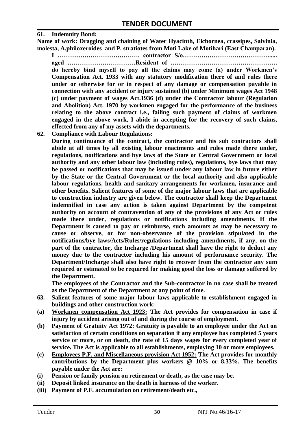#### **61. Indemnity Bond:**

**Name of work: Dragging and chaining of Water Hyacinth, Eichornea, crassipes, Salvinia, molesta, A.philoxeroides and P. stratiotes from Moti Lake of Motihari (East Champaran).**

**I …………………………………. contractor S/o……………………………………..... aged ……………………………Resident of ……………………………………………. do hereby bind myself to pay all the claims may come (a) under Workmen's Compensation Act. 1933 with any statutory modification there of and rules there under or otherwise for or in respect of any damage or compensation payable in connection with any accident or injury sustained (b) under Minimum wages Act 1948 (c) under payment of wages Act.1936 (d) under the Contractor labour (Regulation and Abolition) Act. 1970 by workmen engaged for the performance of the business relating to the above contract i.e., failing such payment of claims of workmen engaged in the above work, I abide in accepting for the recovery of such claims, effected from any of my assets with the departments.**

**62. Compliance with Labour Regulations:**

**During continuance of the contract, the contractor and his sub contractors shall abide at all times by all existing labour enactments and rules made there under, regulations, notifications and bye laws of the State or Central Government or local authority and any other labour law (including rules), regulations, bye laws that may be passed or notifications that may be issued under any labour law in future either by the State or the Central Government or the local authority and also applicable labour regulations, health and sanitary arrangements for workmen, insurance and other benefits. Salient features of some of the major labour laws that are applicable to construction industry are given below. The contractor shall keep the Department indemnified in case any action is taken against Department by the competent authority on account of contravention of any of the provisions of any Act or rules made there under, regulations or notifications including amendments. If the Department is caused to pay or reimburse, such amounts as may be necessary to cause or observe, or for non-observance of the provision stipulated in the notifications/bye laws/Acts/Rules/regulations including amendments, if any, on the part of the contractor, the Incharge /Department shall have the right to deduct any money due to the contractor including his amount of performance security. The Department/Incharge shall also have right to recover from the contractor any sum required or estimated to be required for making good the loss or damage suffered by the Department.**

**The employees of the Contractor and the Sub-contractor in no case shall be treated as the Department of the Department at any point of time.**

- **63. Salient features of some major labour laws applicable to establishment engaged in buildings and other construction work:**
- **(a) Workmen compensation Act 1923: The Act provides for compensation in case if injury by accident arising out of and during the course of employment.**
- **(b) Payment of Gratuity Act 1972: Gratuity is payable to an employee under the Act on satisfaction of certain conditions on separation if any employee has completed 5 years service or more, or on death, the rate of 15 days wages for every completed year of service. The Act is applicable to all establishments, employing 10 or more employees.**
- **(c) Employees P.F. and Miscellaneous provision Act 1952: The Act provides for monthly contributions by the Department plus workers @ 10% or 8.33%. The benefits payable under the Act are:**
- **(i) Pension or family pension on retirement or death, as the case may be.**
- **(ii) Deposit linked insurance on the death in harness of the worker.**
- **(iii) Payment of P.F. accumulation on retirement/death etc.,**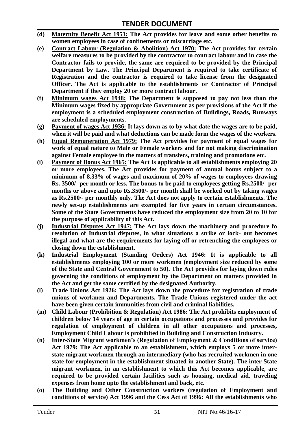- **(d) Maternity Benefit Act 1951: The Act provides for leave and some other benefits to women employees in case of confinements or miscarriage etc.**
- **(e) Contract Labour (Regulation & Abolition) Act 1970: The Act provides for certain**  welfare measures to be provided by the contractor to contract labour and in case the **Contractor fails to provide, the same are required to be provided by the Principal Department by Law. The Principal Department is required to take certificate of Registration and the contractor is required to take license from the designated Officer. The Act is applicable to the establishments or Contractor of Principal Department if they employ 20 or more contract labour.**
- **(f) Minimum wages Act 1948: The Department is supposed to pay not less than the Minimum wages fixed by appropriate Government as per provisions of the Act if the employment is a scheduled employment construction of Buildings, Roads, Runways are scheduled employments.**
- **(g) Payment of wages Act 1936: It lays down as to by what date the wages are to be paid, when it will be paid and what deductions can be made form the wages of the workers.**
- **(h) Equal Remuneration Act 1979: The Act provides for payment of equal wages for work of equal nature to Male or Female workers and for not making discrimination against Female employee in the matters of transfers, training and promotions etc.**
- **(i) Payment of Bonus Act 1965: The Act Is applicable to all establishments employing 20 or more employees. The Act provides for payment of annual bonus subject to a minimum of 8.33% of wages and maximum of 20% of wages to employees drawing Rs. 3500/- per month or less. The bonus to be paid to employees getting Rs.2500/- per months or above and upto Rs.3500/- per month shall be worked out by taking wages as Rs.2500/- per monthly only. The Act does not apply to certain establishments. The newly set-up establishments are exempted for five years in certain circumstances. Some of the State Governments have reduced the employment size from 20 to 10 for the purpose of applicability of this Act.**
- **(j) Industrial Disputes Act 1947: The Act lays down the machinery and procedure fo resolution of Industrial disputes, in what situations a strike or lock- out becomes illegal and what are the requirements for laying off or retrenching the employees or closing down the establishment.**
- **(k) Industrial Employment (Standing Orders) Act 1946: It is applicable to all establishments employing 100 or more workmen (employment size reduced by some of the State and Central Government to 50). The Act provides for laying down rules governing the conditions of employment by the Department on matters provided in the Act and get the same certified by the designated Authority.**
- **(l) Trade Unions Act 1926: The Act lays down the procedure for registration of trade unions of workmen and Departments. The Trade Unions registered under the act have been given certain immunities from civil and criminal liabilities.**
- **(m) Child Labour (Prohibition & Regulation) Act 1986: The Act prohibits employment of children below 14 years of age in certain occupations and processes and provides for regulation of employment of children in all other occupations and processes, Employment Child Labour is prohibited in Building and Construction Industry.**
- **(n) Inter-State Migrant workmen's (Regulation of Employment & Conditions of service) Act 1979: The Act applicable to an establishment, which employs 5 or more interstate migrant workmen through an intermediary (who has recruited workmen in one state for employment in the establishment situated in another State). The inter State migrant workmen, in an establishment to which this Act becomes applicable, are required to be provided certain facilities such as housing, medical aid, traveling expenses from home upto the establishment and back, etc.**
- **(o) The Building and Other Construction workers (regulation of Employment and conditions of service) Act 1996 and the Cess Act of 1996: All the establishments who**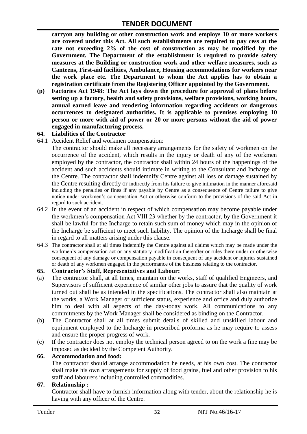**carryon any building or other construction work and employs 10 or more workers are covered under this Act. All such establishments are required to pay cess at the rate not exceeding 2% of the cost of construction as may be modified by the Government. The Department of the establishment is required to provide safety measures at the Building or construction work and other welfare measures, such as Canteens, First-aid facilities, Ambulance, Housing accommodations for workers near the work place etc. The Department to whom the Act applies has to obtain a registration certificate from the Registering Officer appointed by the Government.**

**(p) Factories Act 1948: The Act lays down the procedure for approval of plans before setting up a factory, health and safety provisions, welfare provisions, working hours, annual earned leave and rendering information regarding accidents or dangerous occurrences to designated authorities. It is applicable to premises employing 10 person or more with aid of power or 20 or more persons without the aid of power engaged in manufacturing process.**

#### **64. Liabilities of the Contractor**

64.1 Accident Relief and workmen compensation:

The contractor should make all necessary arrangements for the safety of workmen on the occurrence of the accident, which results in the injury or death of any of the workmen employed by the contractor, the contractor shall within 24 hours of the happenings of the accident and such accidents should intimate in writing to the Consultant and Incharge of the Centre. The contractor shall indemnify Centre against all loss or damage sustained by the Centre resulting directly or indirectly from his failure to give intimation in the manner aforesaid including the penalties or fines if any payable by Centre as a consequence of Centre failure to give notice under workmen"s compensation Act or otherwise conform to the provisions of the said Act in regard to such accident.

- 64.2 In the event of an accident in respect of which compensation may become payable under the workmen"s compensation Act VIII 23 whether by the contractor, by the Government it shall be lawful for the Incharge to retain such sum of money which may in the opinion of the Incharge be sufficient to meet such liability. The opinion of the Incharge shall be final in regard to all matters arising under this clause.
- 64.3 The contractor shall at all times indemnify the Centre against all claims which may be made under the workmen"s compensation act or any statutory modification thereafter or rules there under or otherwise consequent of any damage or compensation payable in consequent of any accident or injuries sustained or death of any workmen engaged in the performance of the business relating to the contractor.

#### **65. Contractor's Staff, Representatives and Labour:**

- (a) The contractor shall, at all times, maintain on the works, staff of qualified Engineers, and Supervisors of sufficient experience of similar other jobs to assure that the quality of work turned out shall be as intended in the specifications. The contractor shall also maintain at the works, a Work Manager or sufficient status, experience and office and duly authorize him to deal with all aspects of the day-today work. All communications to any commitments by the Work Manager shall be considered as binding on the Contractor.
- (b) The Contractor shall at all times submit details of skilled and unskilled labour and equipment employed to the Incharge in prescribed proforma as he may require to assess and ensure the proper progress of work.
- (c) If the contractor does not employ the technical person agreed to on the work a fine may be imposed as decided by the Competent Authority.

#### **66. Accommodation and food:**

The contractor should arrange accommodation he needs, at his own cost. The contractor shall make his own arrangements for supply of food grains, fuel and other provision to his staff and labourers including controlled commodities.

#### **67. Relationship :**

Contractor shall have to furnish information along with tender, about the relationship he is having with any officer of the Centre.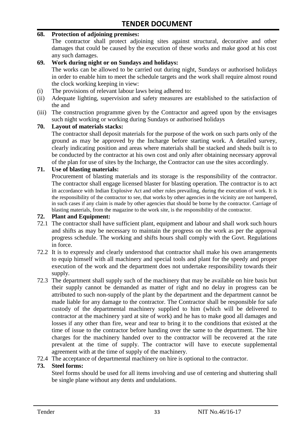#### **68. Protection of adjoining premises:**

The contractor shall protect adjoining sites against structural, decorative and other damages that could be caused by the execution of these works and make good at his cost any such damages.

#### **69. Work during night or on Sundays and holidays:**

The works can be allowed to be carried out during night, Sundays or authorised holidays in order to enable him to meet the schedule targets and the work shall require almost round the clock working keeping in view:

- (i) The provisions of relevant labour laws being adhered to:
- (ii) Adequate lighting, supervision and safety measures are established to the satisfaction of the and
- (iii) The construction programme given by the Contractor and agreed upon by the envisages such night working or working during Sundays or authorised holidays

#### **70. Layout of materials stacks:**

The contractor shall deposit materials for the purpose of the work on such parts only of the ground as may be approved by the Incharge before starting work. A detailed survey, clearly indicating position and areas where materials shall be stacked and sheds built is to be conducted by the contractor at his own cost and only after obtaining necessary approval of the plan for use of sites by the Incharge, the Contractor can use the sites accordingly.

#### **71. Use of blasting materials:**

Procurement of blasting materials and its storage is the responsibility of the contractor. The contractor shall engage licensed blaster for blasting operation. The contractor is to act in accordance with Indian Explosive Act and other rules prevailing, during the execution of work. It is the responsibility of the contractor to see, that works by other agencies in the vicinity are not hampered, in such cases if any claim is made by other agencies that should be borne by the contractor. Carriage of blasting materials, from the magazine to the work site, is the responsibility of the contractor.

#### **72. Plant and Equipment:**

- 72.1 The contractor shall have sufficient plant, equipment and labour and shall work such hours and shifts as may be necessary to maintain the progress on the work as per the approval progress schedule. The working and shifts hours shall comply with the Govt. Regulations in force.
- 72.2 It is to expressly and clearly understood that contractor shall make his own arrangements to equip himself with all machinery and special tools and plant for the speedy and proper execution of the work and the department does not undertake responsibility towards their supply.
- 72.3 The department shall supply such of the machinery that may be available on hire basis but their supply cannot be demanded as matter of right and no delay in progress can be attributed to such non-supply of the plant by the department and the department cannot be made liable for any damage to the contractor. The Contractor shall be responsible for safe custody of the departmental machinery supplied to him (which will be delivered to contractor at the machinery yard at site of work) and he has to make good all damages and losses if any other than fire, wear and tear to bring it to the conditions that existed at the time of issue to the contractor before handing over the same to the department. The hire charges for the machinery handed over to the contractor will be recovered at the rate prevalent at the time of supply. The contractor will have to execute supplemental agreement with at the time of supply of the machinery.
- 72.4 The acceptance of departmental machinery on hire is optional to the contractor.

#### **73. Steel forms:**

Steel forms should be used for all items involving and use of centering and shuttering shall be single plane without any dents and undulations.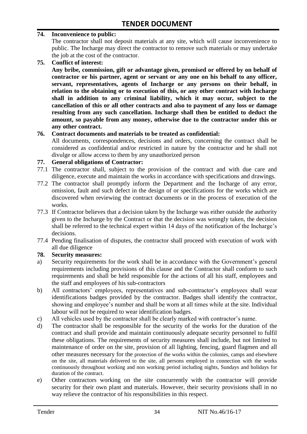#### **74. Inconvenience to public:**

The contractor shall not deposit materials at any site, which will cause inconvenience to public. The Incharge may direct the contractor to remove such materials or may undertake the job at the cost of the contractor.

**75. Conflict of interest:**

**Any bribe, commission, gift or advantage given, promised or offered by on behalf of contractor or his partner, agent or servant or any one on his behalf to any officer, servant, representatives, agents of Incharge or any persons on their behalf, in relation to the obtaining or to execution of this, or any other contract with Incharge shall in addition to any criminal liability, which it may occur, subject to the cancellation of this or all other contracts and also to payment of any loss or damage resulting from any such cancellation. Incharge shall then be entitled to deduct the amount, so payable from any money, otherwise due to the contractor under this or any other contract.**

#### **76. Contract documents and materials to be treated as confidential:**

All documents, correspondences, decisions and orders, concerning the contract shall be considered as confidential and/or restricted in nature by the contractor and he shall not divulge or allow access to them by any unauthorized person

#### **77. General obligations of Contractor:**

- 77.1 The contractor shall, subject to the provision of the contract and with due care and diligence, execute and maintain the works in accordance with specifications and drawings.
- 77.2 The contractor shall promptly inform the Department and the Incharge of any error, omission, fault and such defect in the design of or specifications for the works which are discovered when reviewing the contract documents or in the process of execution of the works.
- 77.3 If Contractor believes that a decision taken by the Incharge was either outside the authority given to the Incharge by the Contract or that the decision was wrongly taken, the decision shall be referred to the technical expert within 14 days of the notification of the Incharge's decisions.
- 77.4 Pending finalisation of disputes, the contractor shall proceed with execution of work with all due diligence

#### **78. Security measures:**

- a) Security requirements for the work shall be in accordance with the Government's general requirements including provisions of this clause and the Contractor shall conform to such requirements and shall be held responsible for the actions of all his staff, employees and the staff and employees of his sub-contractors
- b) All contractors' employees, representatives and sub-contractor's employees shall wear identifications badges provided by the contractor. Badges shall identify the contractor, showing and employee"s number and shall be worn at all times while at the site. Individual labour will not be required to wear identification badges.
- c) All vehicles used by the contractor shall be clearly marked with contractor"s name.
- d) The contractor shall be responsible for the security of the works for the duration of the contract and shall provide and maintain continuously adequate security personnel to fulfil these obligations. The requirements of security measures shall include, but not limited to maintenance of order on the site, provision of all lighting, fencing, guard flagmen and all other measures necessary for the protection of the works within the colonies, camps and elsewhere on the site, all materials delivered to the site, all persons employed in connection with the works continuously throughout working and non working period including nights, Sundays and holidays for duration of the contract.
- e) Other contractors working on the site concurrently with the contractor will provide security for their own plant and materials. However, their security provisions shall in no way relieve the contractor of his responsibilities in this respect.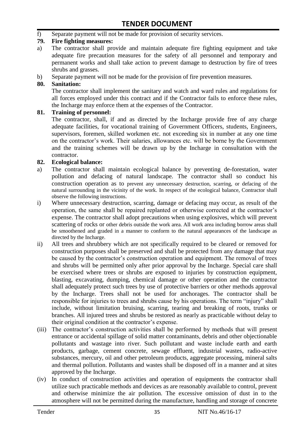f) Separate payment will not be made for provision of security services.

#### **79. Fire fighting measures:**

- a) The contractor shall provide and maintain adequate fire fighting equipment and take adequate fire precaution measures for the safety of all personnel and temporary and permanent works and shall take action to prevent damage to destruction by fire of trees shrubs and grasses.
- b) Separate payment will not be made for the provision of fire prevention measures.

#### **80. Sanitation:**

The contractor shall implement the sanitary and watch and ward rules and regulations for all forces employed under this contract and if the Contractor fails to enforce these rules, the Incharge may enforce them at the expenses of the Contractor.

#### **81. Training of personnel:**

The contractor, shall, if and as directed by the Incharge provide free of any charge adequate facilities, for vocational training of Government Officers, students, Engineers, supervisors, foremen, skilled workmen etc. not exceeding six in number at any one time on the contractor"s work. Their salaries, allowances etc. will be borne by the Government and the training schemes will be drawn up by the Incharge in consultation with the contractor.

#### **82. Ecological balance:**

- a) The contractor shall maintain ecological balance by preventing de-forestation, water pollution and defacing of natural landscape. The contractor shall so conduct his construction operation as to prevent any unnecessary destruction, scarring, or defacing of the natural surrounding in the vicinity of the work. In respect of the ecological balance, Contractor shall observe the following instructions.
- i) Where unnecessary destruction, scarring, damage or defacing may occur, as result of the operation, the same shall be repaired replanted or otherwise corrected at the contractor"s expense. The contractor shall adopt precautions when using explosives, which will prevent scattering of rocks or other debris outside the work area. All work area including borrow areas shall be smoothened and graded in a manner to conform to the natural appearances of the landscape as directed by the Incharge.
- ii) All trees and shrubbery which are not specifically required to be cleared or removed for construction purposes shall be preserved and shall be protected from any damage that may be caused by the contractor's construction operation and equipment. The removal of trees and shrubs will be permitted only after prior approval by the Incharge. Special care shall be exercised where trees or shrubs are exposed to injuries by construction equipment, blasting, excavating, dumping, chemical damage or other operation and the contractor shall adequately protect such trees by use of protective barriers or other methods approval by the Incharge. Trees shall not be used for anchorages. The contractor shall be responsible for injuries to trees and shrubs cause by his operations. The term "injury" shall include, without limitation bruising, scarring, tearing and breaking of roots, trunks or branches. All injured trees and shrubs be restored as nearly as practicable without delay to their original condition at the contractor"s expense.
- (iii) The contractor's construction activities shall be performed by methods that will present entrance or accidental spillage of solid matter contaminants, debris and other objectionable pollutants and wastage into river. Such pollutant and waste include earth and earth products, garbage, cement concrete, sewage effluent, industrial wastes, radio-active substances, mercury, oil and other petroleum products, aggregate processing, mineral salts and thermal pollution. Pollutants and wastes shall be disposed off in a manner and at sites approved by the Incharge.
- (iv) In conduct of construction activities and operation of equipments the contractor shall utilize such practicable methods and devices as are reasonably available to control, prevent and otherwise minimize the air pollution. The excessive omission of dust in to the atmosphere will not be permitted during the manufacture, handling and storage of concrete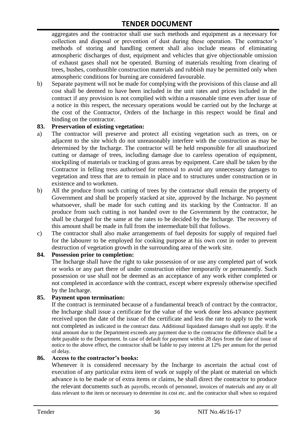aggregates and the contractor shall use such methods and equipment as a necessary for collection and disposal or prevention of dust during these operation. The contractor's methods of storing and handling cement shall also include means of eliminating atmospheric discharges of dust, equipment and vehicles that give objectionable omission of exhaust gases shall not be operated. Burning of materials resulting from clearing of trees, bushes, combustible construction materials and rubbish may be permitted only when atmospheric conditions for burning are considered favourable.

b) Separate payment will not be made for complying with the provisions of this clause and all cost shall be deemed to have been included in the unit rates and prices included in the contract if any provision is not complied with within a reasonable time even after issue of a notice in this respect, the necessary operations would be carried out by the Incharge at the cost of the Contractor, Orders of the Incharge in this respect would be final and binding on the contractor.

#### **83. Preservation of existing vegetation:**

- a) The contractor will preserve and protect all existing vegetation such as trees, on or adjacent to the site which do not unreasonably interfere with the construction as may be determined by the Incharge. The contractor will be held responsible for all unauthorized cutting or damage of trees, including damage due to careless operation of equipment, stockpiling of materials or tracking of grass areas by equipment. Care shall be taken by the Contractor in felling tress authorised for removal to avoid any unnecessary damages to vegetation and tress that are to remain in place and to structures under construction or in existence and to workmen.
- b) All the produce from such cutting of trees by the contractor shall remain the property of Government and shall be properly stacked at site, approved by the Incharge. No payment whatsoever, shall be made for such cutting and its stacking by the Contractor. If an produce from such cutting is not handed over to the Government by the contractor, he shall be charged for the same at the rates to be decided by the Incharge. The recovery of this amount shall be made in full from the intermediate bill that follows.
- c) The contractor shall also make arrangements of fuel deposits for supply of required fuel for the labourer to be employed for cooking purpose at his own cost in order to prevent destruction of vegetation growth in the surrounding area of the work site.

#### **84. Possession prior to completion:**

The Incharge shall have the right to take possession of or use any completed part of work or works or any part there of under construction either temporarily or permanently. Such possession or use shall not be deemed as an acceptance of any work either completed or not completed in accordance with the contract, except where expressly otherwise specified by the Incharge.

#### **85. Payment upon termination:**

If the contract is terminated because of a fundamental breach of contract by the contractor, the Incharge shall issue a certificate for the value of the work done less advance payment received upon the date of the issue of the certificate and less the rate to apply to the work not completed as indicated in the contract data. Additional liquidated damages shall not apply. If the total amount due to the Department exceeds any payment due to the contractor the difference shall be a debt payable to the Department. In case of default for payment within 28 days from the date of issue of notice to the above effect, the contractor shall be liable to pay interest at 12% per annum for the period of delay.

#### **86. Access to the contractor's books:**

Whenever it is considered necessary by the Incharge to ascertain the actual cost of execution of any particular extra item of work or supply of the plant or material on which advance is to be made or of extra items or claims, he shall direct the contractor to produce the relevant documents such as payrolls, records of personnel, invoices of materials and any or all data relevant to the item or necessary to determine its cost etc. and the contractor shall when so required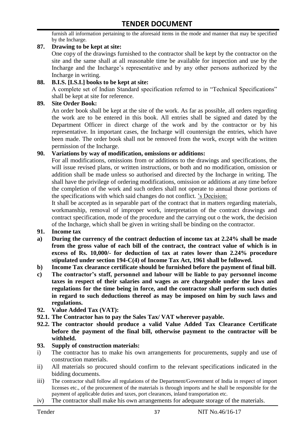furnish all information pertaining to the aforesaid items in the mode and manner that may be specified by the Incharge.

#### **87. Drawing to be kept at site:**

One copy of the drawings furnished to the contractor shall be kept by the contractor on the site and the same shall at all reasonable time be available for inspection and use by the Incharge and the Incharge"s representative and by any other persons authorized by the Incharge in writing.

#### **88. B.I.S. [I.S.I.] books to be kept at site:**

A complete set of Indian Standard specification referred to in "Technical Specifications" shall be kept at site for reference.

#### **89. Site Order Book:**

An order book shall be kept at the site of the work. As far as possible, all orders regarding the work are to be entered in this book. All entries shall be signed and dated by the Department Officer in direct charge of the work and by the contractor or by his representative. In important cases, the Incharge will countersign the entries, which have been made. The order book shall not be removed from the work, except with the written permission of the Incharge.

#### **90. Variations by way of modification, omissions or additions:**

For all modifications, omissions from or additions to the drawings and specifications, the will issue revised plans, or written instructions, or both and no modification, omission or addition shall be made unless so authorised and directed by the Incharge in writing. The shall have the privilege of ordering modifications, omission or additions at any time before the completion of the work and such orders shall not operate to annual those portions of the specifications with which said changes do not conflict. "s Decision:

It shall be accepted as in separable part of the contract that in matters regarding materials, workmanship, removal of improper work, interpretation of the contract drawings and contract specification, mode of the procedure and the carrying out o the work, the decision of the Incharge, which shall be given in writing shall be binding on the contractor.

- **91. Income tax**
- **a) During the currency of the contract deduction of income tax at 2.24% shall be made from the gross value of each bill of the contract, the contract value of which is in excess of Rs. 10,000/- for deduction of tax at rates lower than 2.24% procedure stipulated under section 194-C(4) of Income Tax Act, 1961 shall be followed.**
- **b) Income Tax clearance certificate should be furnished before the payment of final bill.**
- **c) The contractor's staff, personnel and labour will be liable to pay personnel income taxes in respect of their salaries and wages as are chargeable under the laws and regulations for the time being in force, and the contractor shall perform such duties in regard to such deductions thereof as may be imposed on him by such laws and regulations.**
- **92. Value Added Tax (VAT):**
- **92.1. The Contractor has to pay the Sales Tax/ VAT wherever payable.**
- **92.2. The contractor should produce a valid Value Added Tax Clearance Certificate before the payment of the final bill, otherwise payment to the contractor will be withheld.**

#### **93. Supply of construction materials:**

- i) The contractor has to make his own arrangements for procurements, supply and use of construction materials.
- ii) All materials so procured should confirm to the relevant specifications indicated in the bidding documents.
- iii) The contractor shall follow all regulations of the Department/Government of India in respect of import licenses etc., of the procurement of the materials is through imports and he shall be responsible for the payment of applicable duties and taxes, port clearances, inland transportation etc.
- iv) The contractor shall make his own arrangements for adequate storage of the materials.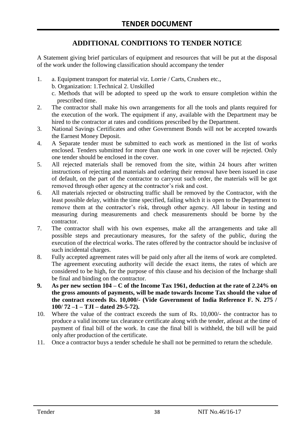# **ADDITIONAL CONDITIONS TO TENDER NOTICE**

A Statement giving brief particulars of equipment and resources that will be put at the disposal of the work under the following classification should accompany the tender

- 1. a. Equipment transport for material viz. Lorrie / Carts, Crushers etc.,
	- b. Organization: 1.Technical 2. Unskilled
	- c. Methods that will be adopted to speed up the work to ensure completion within the prescribed time.
- 2. The contractor shall make his own arrangements for all the tools and plants required for the execution of the work. The equipment if any, available with the Department may be hired to the contractor at rates and conditions prescribed by the Department.
- 3. National Savings Certificates and other Government Bonds will not be accepted towards the Earnest Money Deposit.
- 4. A Separate tender must be submitted to each work as mentioned in the list of works enclosed. Tenders submitted for more than one work in one cover will be rejected. Only one tender should be enclosed in the cover.
- 5. All rejected materials shall be removed from the site, within 24 hours after written instructions of rejecting and materials and ordering their removal have been issued in case of default, on the part of the contractor to carryout such order, the materials will be got removed through other agency at the contractor's risk and cost.
- 6. All materials rejected or obstructing traffic shall be removed by the Contractor, with the least possible delay, within the time specified, failing which it is open to the Department to remove them at the contractor's risk, through other agency. All labour in testing and measuring during measurements and check measurements should be borne by the contractor.
- 7. The contractor shall with his own expenses, make all the arrangements and take all possible steps and precautionary measures, for the safety of the public, during the execution of the electrical works. The rates offered by the contractor should be inclusive of such incidental charges.
- 8. Fully accepted agreement rates will be paid only after all the items of work are completed. The agreement executing authority will decide the exact items, the rates of which are considered to be high, for the purpose of this clause and his decision of the Incharge shall be final and binding on the contractor.
- **9. As per new section 104 – C of the Income Tax 1961, deduction at the rate of 2.24% on the gross amounts of payments, will be made towards Income Tax should the value of the contract exceeds Rs. 10,000/- (Vide Government of India Reference F. N. 275 / 100/ 72 –1 – TJI – dated 29-5-72).**
- 10. Where the value of the contract exceeds the sum of Rs. 10,000/- the contractor has to produce a valid income tax clearance certificate along with the tender, atleast at the time of payment of final bill of the work. In case the final bill is withheld, the bill will be paid only after production of the certificate.
- 11. Once a contractor buys a tender schedule he shall not be permitted to return the schedule.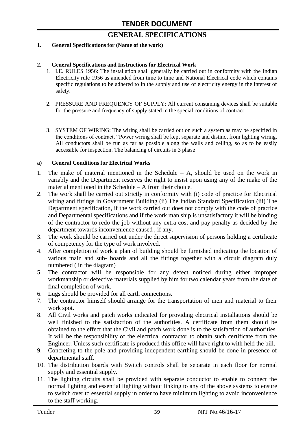# **GENERAL SPECIFICATIONS**

#### **1. General Specifications for (Name of the work)**

#### **2. General Specifications and Instructions for Electrical Work**

- 1. I.E. RULES 1956: The installation shall generally be carried out in conformity with the Indian Electricity rule 1956 as amended from time to time and National Electrical code which contains specific regulations to be adhered to in the supply and use of electricity energy in the interest of safety.
- 2. PRESSURE AND FREQUENCY OF SUPPLY: All current consuming devices shall be suitable for the pressure and frequency of supply stated in the special conditions of contract
- 3. SYSTEM OF WIRING: The wiring shall be carried out on such a system as may be specified in the conditions of contract. "Power wiring shall be kept separate and distinct from lighting wiring. All conductors shall be run as far as possible along the walls and ceiling, so as to be easily accessible for inspection. The balancing of circuits in 3 phase

#### **a) General Conditions for Electrical Works**

- 1. The make of material mentioned in the Schedule A, should be used on the work in variably and the Department reserves the right to insist upon using any of the make of the material mentioned in the Schedule – A from their choice.
- 2. The work shall be carried out strictly in conformity with (i) code of practice for Electrical wiring and fittings in Government Building (ii) The Indian Standard Specification (iii) The Department specification, if the work carried out does not comply with the code of practice and Departmental specifications and if the work man ship is unsatisfactory it will be binding of the contractor to redo the job without any extra cost and pay penalty as decided by the department towards inconvenience caused , if any.
- 3. The work should be carried out under the direct supervision of persons holding a certificate of competency for the type of work involved.
- 4. After completion of work a plan of building should be furnished indicating the location of various main and sub- boards and all the fittings together with a circuit diagram duly numbered ( in the diagram)
- 5. The contractor will be responsible for any defect noticed during either improper workmanship or defective materials supplied by him for two calendar years from the date of final completion of work.
- 6. Lugs should be provided for all earth connections.
- 7. The contractor himself should arrange for the transportation of men and material to their work spot.
- 8. All Civil works and patch works indicated for providing electrical installations should be well finished to the satisfaction of the authorities. A certificate from them should be obtained to the effect that the Civil and patch work done is to the satisfaction of authorities. It will be the responsibility of the electrical contractor to obtain such certificate from the Engineer. Unless such certificate is produced this office will have right to with held the bill.
- 9. Concreting to the pole and providing independent earthing should be done in presence of departmental staff.
- 10. The distribution boards with Switch controls shall be separate in each floor for normal supply and essential supply.
- 11. The lighting circuits shall be provided with separate conductor to enable to connect the normal lighting and essential lighting without linking to any of the above systems to ensure to switch over to essential supply in order to have minimum lighting to avoid inconvenience to the staff working.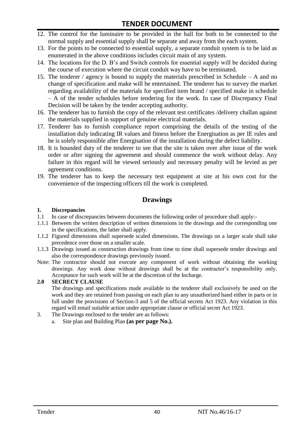- 12. The control for the luminaire to be provided in the hall for both to be connected to the normal supply and essential supply shall be separate and away from the each system.
- 13. For the points to be connected to essential supply, a separate conduit system is to be laid as enumerated in the above conditions includes circuit main of any system.
- 14. The locations for the D. B"s and Switch controls for essential supply will be decided during the course of execution where the circuit conduit way have to be terminated.
- 15. The tenderer / agency is bound to supply the materials prescribed in Schedule A and no change of specification and make will be entertained. The tenderer has to survey the market regarding availability of the materials for specified item brand / specified make in schedule – A of the tender schedules before tendering for the work. In case of Discrepancy Final Decision will be taken by the tender accepting authority.
- 16. The tenderer has to furnish the copy of the relevant test certificates /delivery challan against the materials supplied in support of genuine electrical materials.
- 17. Tenderer has to furnish compliance report comprising the details of the testing of the installation duly indicating IR values and fitness before the Energisation as per IE rules and he is solely responsible after Energisation of the installation during the defect liability.
- 18. It is bounded duty of the tenderer to see that the site is taken over after issue of the work order or after signing the agreement and should commence the work without delay. Any failure in this regard will be viewed seriously and necessary penalty will be levied as per agreement conditions.
- 19. The tenderer has to keep the necessary test equipment at site at his own cost for the convenience of the inspecting officers till the work is completed.

# **Drawings**

#### **1. Discrepancies**

- 1.1 In case of discrepancies between documents the following order of procedure shall apply:-
- 1.1.1 Between the written description of written dimensions in the drawings and the corresponding one in the specifications, the latter shall apply.
- 1.1.2 Figured dimensions shall supersede scaled dimensions. The drawings on a larger scale shall take precedence over those on a smaller scale.
- 1.1.3 Drawings issued as construction drawings from time to time shall supersede tender drawings and also the correspondence drawings previously issued.
- Note: The contractor should not execute any component of work without obtaining the working drawings. Any work done without drawings shall be at the contractor"s responsibility only. Acceptance for such work will be at the discretion of the Incharge.

#### **2.0 SECRECY CLAUSE**

The drawings and specifications made available to the tenderer shall exclusively be used on the work and they are retained from passing on each plan to any unauthorized hand either in parts or in full under the provisions of Section-3 and 5 of the official secrets Act 1923. Any violation in this regard will entail suitable action under appropriate clause or official secret Act 1923.

- 3. The Drawings enclosed to the tender are as follows:
	- a. Site plan and Building Plan **(as per page No.).**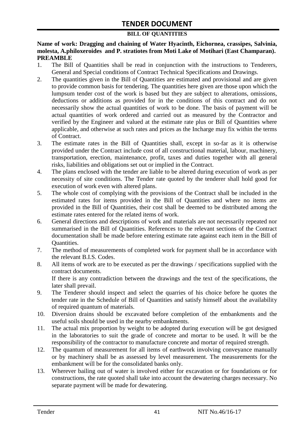### **BILL OF QUANTITIES**

**Name of work: Dragging and chaining of Water Hyacinth, Eichornea, crassipes, Salvinia, molesta, A.philoxeroides and P. stratiotes from Moti Lake of Motihari (East Champaran). PREAMBLE**

- 1. The Bill of Quantities shall be read in conjunction with the instructions to Tenderers, General and Special conditions of Contract Technical Specifications and Drawings.
- 2. The quantities given in the Bill of Quantities are estimated and provisional and are given to provide common basis for tendering. The quantities here given are those upon which the lumpsum tender cost of the work is based but they are subject to alterations, omissions, deductions or additions as provided for in the conditions of this contract and do not necessarily show the actual quantities of work to be done. The basis of payment will be actual quantities of work ordered and carried out as measured by the Contractor and verified by the Engineer and valued at the estimate rate plus or Bill of Quantities where applicable, and otherwise at such rates and prices as the Incharge may fix within the terms of Contract.
- 3. The estimate rates in the Bill of Quantities shall, except in so-far as it is otherwise provided under the Contract include cost of all constructional material, labour, machinery, transportation, erection, maintenance, profit, taxes and duties together with all general risks, liabilities and obligations set out or implied in the Contract.
- 4. The plans enclosed with the tender are liable to be altered during execution of work as per necessity of site conditions. The Tender rate quoted by the tenderer shall hold good for execution of work even with altered plans.
- 5. The whole cost of complying with the provisions of the Contract shall be included in the estimated rates for items provided in the Bill of Quantities and where no items are provided in the Bill of Quantities, their cost shall be deemed to be distributed among the estimate rates entered for the related items of work.
- 6. General directions and descriptions of work and materials are not necessarily repeated nor summarised in the Bill of Quantities. References to the relevant sections of the Contract documentation shall be made before entering estimate rate against each item in the Bill of Quantities.
- 7. The method of measurements of completed work for payment shall be in accordance with the relevant B.I.S. Codes.
- 8. All items of work are to be executed as per the drawings / specifications supplied with the contract documents. If there is any contradiction between the drawings and the text of the specifications, the

later shall prevail.

- 9. The Tenderer should inspect and select the quarries of his choice before he quotes the tender rate in the Schedule of Bill of Quantities and satisfy himself about the availability of required quantum of materials.
- 10. Diversion drains should be excavated before completion of the embankments and the useful soils should be used in the nearby embankments.
- 11. The actual mix proportion by weight to be adopted during execution will be got designed in the laboratories to suit the grade of concrete and mortar to be used. It will be the responsibility of the contractor to manufacture concrete and mortar of required strength.
- 12. The quantum of measurement for all items of earthwork involving conveyance manually or by machinery shall be as assessed by level measurement. The measurements for the embankment will be for the consolidated banks only.
- 13. Wherever bailing out of water is involved either for excavation or for foundations or for constructions, the rate quoted shall take into account the dewatering charges necessary. No separate payment will be made for dewatering.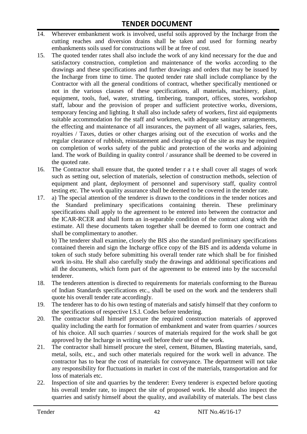- 14. Wherever embankment work is involved, useful soils approved by the Incharge from the cutting reaches and diversion drains shall be taken and used for forming nearby embankments soils used for constructions will be at free of cost.
- 15. The quoted tender rates shall also include the work of any kind necessary for the due and satisfactory construction, completion and maintenance of the works according to the drawings and these specifications and further drawings and orders that may be issued by the Incharge from time to time. The quoted tender rate shall include compliance by the Contractor with all the general conditions of contract, whether specifically mentioned or not in the various clauses of these specifications, all materials, machinery, plant, equipment, tools, fuel, water, strutting, timbering, transport, offices, stores, workshop staff, labour and the provision of proper and sufficient protective works, diversions, temporary fencing and lighting. It shall also include safety of workers, first aid equipments suitable accommodation for the staff and workmen, with adequate sanitary arrangements, the effecting and maintenance of all insurances, the payment of all wages, salaries, fees, royalties / Taxes, duties or other charges arising out of the execution of works and the regular clearance of rubbish, reinstatement and clearing-up of the site as may be required on completion of works safety of the public and protection of the works and adjoining land. The work of Building in quality control / assurance shall be deemed to be covered in the quoted rate.
- 16. The Contractor shall ensure that, the quoted tender r a t e shall cover all stages of work such as setting out, selection of materials, selection of construction methods, selection of equipment and plant, deployment of personnel and supervisory staff, quality control testing etc. The work quality assurance shall be deemed to be covered in the tender rate.
- 17. a) The special attention of the tenderer is drawn to the conditions in the tender notices and the Standard preliminary specifications containing therein. These preliminary specifications shall apply to the agreement to be entered into between the contractor and the ICAR-RCER and shall form an in-separable condition of the contract along with the estimate. All these documents taken together shall be deemed to form one contract and shall be complimentary to another.

b) The tenderer shall examine, closely the BIS also the standard preliminary specifications contained therein and sign the Incharge office copy of the BIS and its addenda volume in token of such study before submitting his overall tender rate which shall be for finished work in-situ. He shall also carefully study the drawings and additional specifications and all the documents, which form part of the agreement to be entered into by the successful tenderer.

- 18. The tenderers attention is directed to requirements for materials conforming to the Bureau of Indian Standards specifications etc., shall be used on the work and the tenderers shall quote his overall tender rate accordingly.
- 19. The tenderer has to do his own testing of materials and satisfy himself that they conform to the specifications of respective I.S.I. Codes before tendering.
- 20. The contractor shall himself procure the required construction materials of approved quality including the earth for formation of embankment and water from quarries / sources of his choice. All such quarries / sources of materials required for the work shall be got approved by the Incharge in writing well before their use of the work.
- 21. The contractor shall himself procure the steel, cement, Bitumen, Blasting materials, sand, metal, soils, etc., and such other materials required for the work well in advance. The contractor has to bear the cost of materials for conveyance. The department will not take any responsibility for fluctuations in market in cost of the materials, transportation and for loss of materials etc.
- 22. Inspection of site and quarries by the tenderer: Every tenderer is expected before quoting his overall tender rate, to inspect the site of proposed work. He should also inspect the quarries and satisfy himself about the quality, and availability of materials. The best class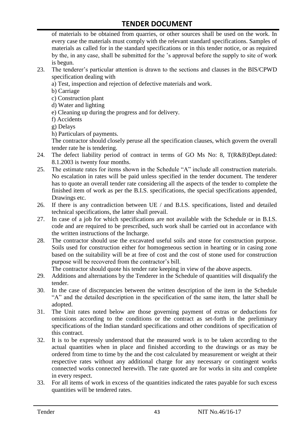of materials to be obtained from quarries, or other sources shall be used on the work. In every case the materials must comply with the relevant standard specifications. Samples of materials as called for in the standard specifications or in this tender notice, or as required by the, in any case, shall be submitted for the "s approval before the supply to site of work is begun.

- 23. The tenderer"s particular attention is drawn to the sections and clauses in the BIS/CPWD specification dealing with
	- a) Test, inspection and rejection of defective materials and work.
	- b) Carriage
	- c) Construction plant
	- d) Water and lighting
	- e) Cleaning up during the progress and for delivery.
	- f) Accidents
	- g) Delays
	- h) Particulars of payments.

The contractor should closely peruse all the specification clauses, which govern the overall tender rate he is tendering.

- 24. The defect liability period of contract in terms of GO Ms No: 8, T(R&B)Dept.dated: 8.1.2003 is twenty four months.
- 25. The estimate rates for items shown in the Schedule "A" include all construction materials. No escalation in rates will be paid unless specified in the tender document. The tenderer has to quote an overall tender rate considering all the aspects of the tender to complete the finished item of work as per the B.I.S. specifications, the special specifications appended, Drawings etc.
- 26. If there is any contradiction between UE / and B.I.S. specifications, listed and detailed technical specifications, the latter shall prevail.
- 27. In case of a job for which specifications are not available with the Schedule or in B.I.S. code and are required to be prescribed, such work shall be carried out in accordance with the written instructions of the Incharge.
- 28. The contractor should use the excavated useful soils and stone for construction purpose. Soils used for construction either for homogeneous section in hearting or in casing zone based on the suitability will be at free of cost and the cost of stone used for construction purpose will be recovered from the contractor's bill.

The contractor should quote his tender rate keeping in view of the above aspects.

- 29. Additions and alternations by the Tenderer in the Schedule of quantities will disqualify the tender.
- 30. In the case of discrepancies between the written description of the item in the Schedule "A" and the detailed description in the specification of the same item, the latter shall be adopted.
- 31. The Unit rates noted below are those governing payment of extras or deductions for omissions according to the conditions or the contract as set-forth in the preliminary specifications of the Indian standard specifications and other conditions of specification of this contract.
- 32. It is to be expressly understood that the measured work is to be taken according to the actual quantities when in place and finished according to the drawings or as may be ordered from time to time by the and the cost calculated by measurement or weight at their respective rates without any additional charge for any necessary or contingent works connected works connected herewith. The rate quoted are for works in situ and complete in every respect.
- 33. For all items of work in excess of the quantities indicated the rates payable for such excess quantities will be tendered rates.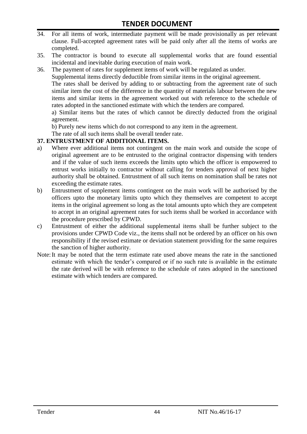- 34. For all items of work, intermediate payment will be made provisionally as per relevant clause. Full-accepted agreement rates will be paid only after all the items of works are completed.
- 35. The contractor is bound to execute all supplemental works that are found essential incidental and inevitable during execution of main work.
- 36. The payment of rates for supplement items of work will be regulated as under.

Supplemental items directly deductible from similar items in the original agreement.

The rates shall be derived by adding to or subtracting from the agreement rate of such similar item the cost of the difference in the quantity of materials labour between the new items and similar items in the agreement worked out with reference to the schedule of rates adopted in the sanctioned estimate with which the tenders are compared.

a) Similar items but the rates of which cannot be directly deducted from the original agreement.

b) Purely new items which do not correspond to any item in the agreement.

The rate of all such items shall be overall tender rate.

#### **37. ENTRUSTMENT OF ADDITIONAL ITEMS.**

- a) Where ever additional items not contingent on the main work and outside the scope of original agreement are to be entrusted to the original contractor dispensing with tenders and if the value of such items exceeds the limits upto which the officer is empowered to entrust works initially to contractor without calling for tenders approval of next higher authority shall be obtained. Entrustment of all such items on nomination shall be rates not exceeding the estimate rates.
- b) Entrustment of supplement items contingent on the main work will be authorised by the officers upto the monetary limits upto which they themselves are competent to accept items in the original agreement so long as the total amounts upto which they are competent to accept in an original agreement rates for such items shall be worked in accordance with the procedure prescribed by CPWD.
- c) Entrustment of either the additional supplemental items shall be further subject to the provisions under CPWD Code viz., the items shall not be ordered by an officer on his own responsibility if the revised estimate or deviation statement providing for the same requires the sanction of higher authority.
- Note:It may be noted that the term estimate rate used above means the rate in the sanctioned estimate with which the tender"s compared or if no such rate is available in the estimate the rate derived will be with reference to the schedule of rates adopted in the sanctioned estimate with which tenders are compared.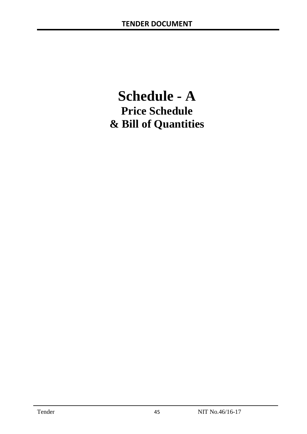# **Schedule - A Price Schedule & Bill of Quantities**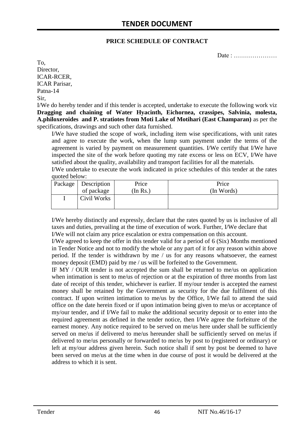#### **PRICE SCHEDULE OF CONTRACT**

Date : …………………

To, Director, ICAR-RCER, ICAR Parisar, Patna-14 Sir,

I/We do hereby tender and if this tender is accepted, undertake to execute the following work viz **Dragging and chaining of Water Hyacinth, Eichornea, crassipes, Salvinia, molesta, A.philoxeroides and P. stratiotes from Moti Lake of Motihari (East Champaran)** as per the specifications, drawings and such other data furnished.

I/We have studied the scope of work, including item wise specifications, with unit rates and agree to execute the work, when the lump sum payment under the terms of the agreement is varied by payment on measurement quantities. I/We certify that I/We have inspected the site of the work before quoting my rate excess or less on ECV, I/We have satisfied about the quality, availability and transport facilities for all the materials.

I/We undertake to execute the work indicated in price schedules of this tender at the rates quoted below:

| Package   Description | Price   | Price      |
|-----------------------|---------|------------|
| of package            | In Rs.) | (In Words) |
| Civil Works           |         |            |

I/We hereby distinctly and expressly, declare that the rates quoted by us is inclusive of all taxes and duties, prevailing at the time of execution of work. Further, I/We declare that I/We will not claim any price escalation or extra compensation on this account.

I/We agreed to keep the offer in this tender valid for a period of 6 (Six) Months mentioned in Tender Notice and not to modify the whole or any part of it for any reason within above period. If the tender is withdrawn by me / us for any reasons whatsoever, the earnest money deposit (EMD) paid by me / us will be forfeited to the Government.

IF MY / OUR tender is not accepted the sum shall be returned to me/us on application when intimation is sent to me/us of rejection or at the expiration of three months from last date of receipt of this tender, whichever is earlier. If my/our tender is accepted the earnest money shall be retained by the Government as security for the due fulfilment of this contract. If upon written intimation to me/us by the Office, I/We fail to attend the said office on the date herein fixed or if upon intimation being given to me/us or acceptance of my/our tender, and if I/We fail to make the additional security deposit or to enter into the required agreement as defined in the tender notice, then I/We agree the forfeiture of the earnest money. Any notice required to be served on me/us here under shall be sufficiently served on me/us if delivered to me/us hereunder shall be sufficiently served on me/us if delivered to me/us personally or forwarded to me/us by post to (registered or ordinary) or left at my/our address given herein. Such notice shall if sent by post be deemed to have been served on me/us at the time when in due course of post it would be delivered at the address to which it is sent.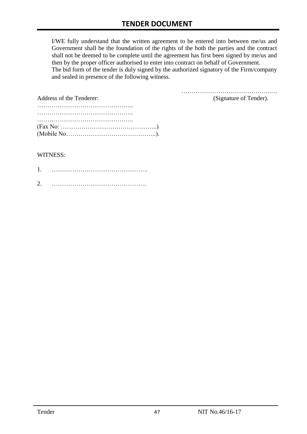I/WE fully understand that the written agreement to be entered into between me/us and Government shall be the foundation of the rights of the both the parties and the contract shall not be deemed to be complete until the agreement has first been signed by me/us and then by the proper officer authorised to enter into contract on behalf of Government. The bid form of the tender is duly signed by the authorized signatory of the Firm/company and sealed in presence of the following witness.

| Address of the Tenderer:                                                                  | (Signature of Tender). |
|-------------------------------------------------------------------------------------------|------------------------|
|                                                                                           |                        |
|                                                                                           |                        |
|                                                                                           |                        |
| $(Fax No: \dots \dots \dots \dots \dots \dots \dots \dots \dots \dots \dots \dots \dots)$ |                        |
|                                                                                           |                        |

#### WITNESS:

| ⌒ |  |
|---|--|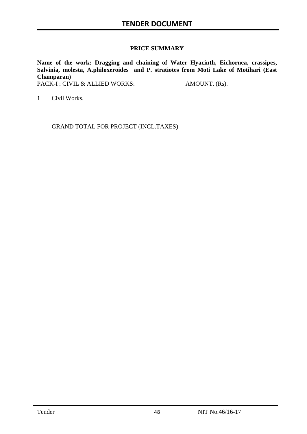#### **PRICE SUMMARY**

**Name of the work: Dragging and chaining of Water Hyacinth, Eichornea, crassipes, Salvinia, molesta, A.philoxeroides and P. stratiotes from Moti Lake of Motihari (East Champaran)**

PACK-I : CIVIL & ALLIED WORKS: AMOUNT. (Rs).

1 Civil Works.

GRAND TOTAL FOR PROJECT (INCL.TAXES)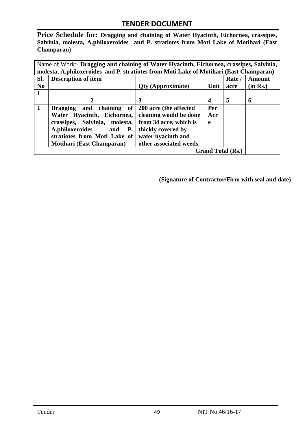**Price Schedule for: Dragging and chaining of Water Hyacinth, Eichornea, crassipes, Salvinia, molesta, A.philoxeroides and P. stratiotes from Moti Lake of Motihari (East Champaran)**

|                | Name of Work:- Dragging and chaining of Water Hyacinth, Eichornea, crassipes, Salvinia, |                          |      |        |          |  |  |
|----------------|-----------------------------------------------------------------------------------------|--------------------------|------|--------|----------|--|--|
|                | molesta, A.philoxeroides and P. stratiotes from Moti Lake of Motihari (East Champaran)  |                          |      |        |          |  |  |
| Sl.            | <b>Description of item</b>                                                              |                          |      | Rate / | Amount   |  |  |
| N <sub>0</sub> |                                                                                         | <b>Qty (Approximate)</b> | Unit | acre   | (in Rs.) |  |  |
|                |                                                                                         |                          |      |        |          |  |  |
|                | 2                                                                                       | 3                        | 4    | 5      | 6        |  |  |
| 1              | Dragging and chaining of                                                                | 200 acre (the affected   | Per  |        |          |  |  |
|                | Water Hyacinth, Eichornea,                                                              | cleaning would be done   | Acr  |        |          |  |  |
|                | crassipes, Salvinia, molesta,                                                           | from 34 acre, which is   | e    |        |          |  |  |
|                | A.philoxeroides and<br><b>P.</b>                                                        | thickly covered by       |      |        |          |  |  |
|                | stratiotes from Moti Lake of                                                            | water hyacinth and       |      |        |          |  |  |
|                | <b>Motihari (East Champaran)</b>                                                        | other associated weeds.  |      |        |          |  |  |
|                | <b>Grand Total (Rs.)</b>                                                                |                          |      |        |          |  |  |

**(Signature of Contractor/Firm with seal and date)**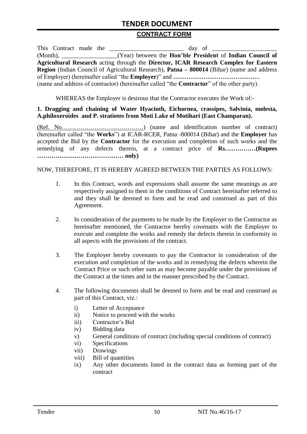#### **CONTRACT FORM**

| This Contract made the |                                                                                                          |
|------------------------|----------------------------------------------------------------------------------------------------------|
|                        | (Month), _____________________(Year) between the <b>Hon'ble President</b> of <b>Indian Council of</b>    |
|                        | Agricultural Research acting through the Director, ICAR Research Complex for Eastern                     |
|                        | <b>Region</b> (Indian Council of Agricultural Research), <b>Patna – 800014</b> (Bihar) (name and address |
|                        |                                                                                                          |
|                        | (name and address of contractor) (hereinafter called "the <b>Contractor</b> " of the other party).       |

WHEREAS the Employer is desirous that the Contractor executes the Work of:-

#### **1. Dragging and chaining of Water Hyacinth, Eichornea, crassipes, Salvinia, molesta, A.philoxeroides and P. stratiotes from Moti Lake of Motihari (East Champaran).**

(Ref. No………………………………….) (name and identification number of contract) (hereinafter called "the **Works**") at ICAR-RCER, Patna -800014 (Bihar) and the **Employer** has accepted the Bid by the **Contractor** for the execution and completion of such works and the remedying of any defects therein, at a contract price of **Rs……………(Rupees …………………………………… only)**

#### NOW, THEREFORE, IT IS HEREBY AGREED BETWEEN THE PARTIES AS FOLLOWS:

- 1. In this Contract, words and expressions shall assume the same meanings as are respectively assigned to them in the conditions of Contract hereinafter referred to and they shall be deemed to form and be read and construed as part of this Agreement.
- 2. In consideration of the payments to be made by the Employer to the Contractor as hereinafter mentioned, the Contractor hereby covenants with the Employer to execute and complete the works and remedy the defects therein in conformity in all aspects with the provisions of the contract.
- 3. The Employer hereby covenants to pay the Contractor in consideration of the execution and completion of the works and in remedying the defects wherein the Contract Price or such other sum as may become payable under the provisions of the Contract at the times and in the manner prescribed by the Contract.
- 4. The following documents shall be deemed to form and be read and construed as part of this Contract, viz.:
	- i) Letter of Acceptance
	- ii) Notice to proceed with the works
	- iii) Contractor"s Bid
	- iv) Bidding data
	- v) General conditions of contract (including special conditions of contract)
	- vi) Specifications
	- vii) Drawings
	- viii) Bill of quantities
	- ix) Any other documents listed in the contract data as forming part of the contract